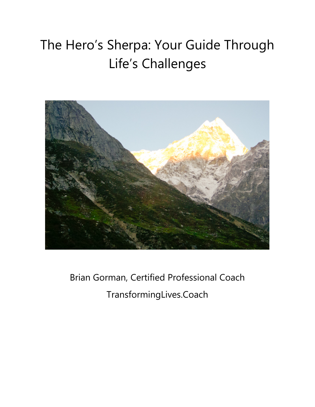# The Hero's Sherpa: Your Guide Through Life's Challenges



Brian Gorman, Certified Professional Coach TransformingLives.Coach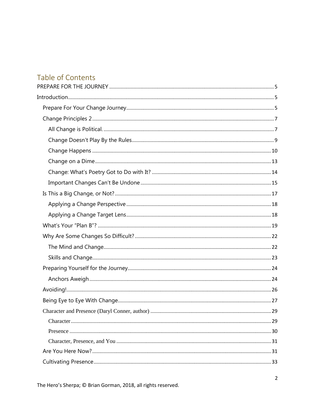# Table of Contents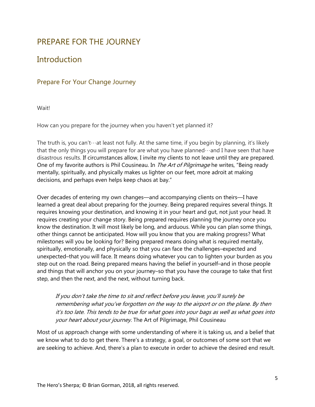# <span id="page-4-0"></span>PREPARE FOR THE JOURNEY

# <span id="page-4-1"></span>**Introduction**

### <span id="page-4-2"></span>Prepare For Your Change Journey

**Waitl** 

How can you prepare for the journey when you haven't yet planned it?

The truth is, you can't…at least not fully. At the same time, if you begin by planning, it's likely that the only things you will prepare for are what you have planned…and I have seen that have disastrous results. If circumstances allow, I invite my clients to not leave until they are prepared. One of my favorite authors is Phil Cousineau. In *The Art of Pilgrimage* he writes, "Being ready mentally, spiritually, and physically makes us lighter on our feet, more adroit at making decisions, and perhaps even helps keep chaos at bay."

Over decades of entering my own changes—and accompanying clients on theirs—I have learned a great deal about preparing for the journey. Being prepared requires several things. It requires knowing your destination, and knowing it in your heart and gut, not just your head. It requires creating your change story. Being prepared requires planning the journey once you know the destination. It will most likely be long, and arduous. While you can plan some things, other things cannot be anticipated. How will you know that you are making progress? What milestones will you be looking for? Being prepared means doing what is required mentally, spiritually, emotionally, and physically so that you can face the challenges–expected and unexpected–that you will face. It means doing whatever you can to lighten your burden as you step out on the road. Being prepared means having the belief in yourself–and in those people and things that will anchor you on your journey–so that you have the courage to take that first step, and then the next, and the next, without turning back.

If you don't take the time to sit and reflect before you leave, you'll surely be remembering what you've forgotten on the way to the airport or on the plane. By then it's too late. This tends to be true for what goes into your bags as well as what goes into your heart about your journey. The Art of Pilgrimage, Phil Cousineau

Most of us approach change with some understanding of where it is taking us, and a belief that we know what to do to get there. There's a strategy, a goal, or outcomes of some sort that we are seeking to achieve. And, there's a plan to execute in order to achieve the desired end result.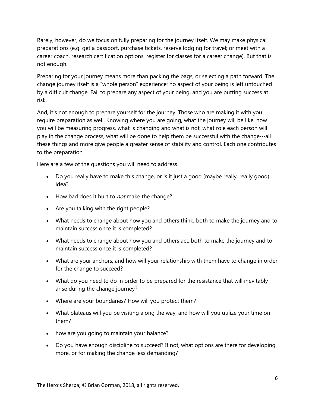Rarely, however, do we focus on fully preparing for the journey itself. We may make physical preparations (e.g. get a passport, purchase tickets, reserve lodging for travel; or meet with a career coach, research certification options, register for classes for a career change). But that is not enough.

Preparing for your journey means more than packing the bags, or selecting a path forward. The change journey itself is a "whole person" experience; no aspect of your being is left untouched by a difficult change. Fail to prepare any aspect of your being, and you are putting success at risk.

And, it's not enough to prepare yourself for the journey. Those who are making it with you require preparation as well. Knowing where you are going, what the journey will be like, how you will be measuring progress, what is changing and what is not, what role each person will play in the change process, what will be done to help them be successful with the change  $\cdots$ all these things and more give people a greater sense of stability and control. Each one contributes to the preparation.

Here are a few of the questions you will need to address.

- Do you really have to make this change, or is it just a good (maybe really, really good) idea?
- How bad does it hurt to *not* make the change?
- Are you talking with the right people?
- What needs to change about how you and others think, both to make the journey and to maintain success once it is completed?
- What needs to change about how you and others act, both to make the journey and to maintain success once it is completed?
- What are your anchors, and how will your relationship with them have to change in order for the change to succeed?
- What do you need to do in order to be prepared for the resistance that will inevitably arise during the change journey?
- Where are your boundaries? How will you protect them?
- What plateaus will you be visiting along the way, and how will you utilize your time on them?
- how are you going to maintain your balance?
- Do you have enough discipline to succeed? If not, what options are there for developing more, or for making the change less demanding?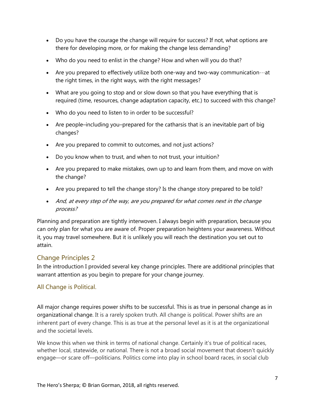- Do you have the courage the change will require for success? If not, what options are there for developing more, or for making the change less demanding?
- Who do you need to enlist in the change? How and when will you do that?
- Are you prepared to effectively utilize both one-way and two-way communication $\cdots$ at the right times, in the right ways, with the right messages?
- What are you going to stop and or slow down so that you have everything that is required (time, resources, change adaptation capacity, etc.) to succeed with this change?
- Who do you need to listen to in order to be successful?
- Are people–including you–prepared for the catharsis that is an inevitable part of big changes?
- Are you prepared to commit to outcomes, and not just actions?
- Do you know when to trust, and when to not trust, your intuition?
- Are you prepared to make mistakes, own up to and learn from them, and move on with the change?
- Are you prepared to tell the change story? Is the change story prepared to be told?
- And, at every step of the way, are you prepared for what comes next in the change process?

Planning and preparation are tightly interwoven. I always begin with preparation, because you can only plan for what you are aware of. Proper preparation heightens your awareness. Without it, you may travel somewhere. But it is unlikely you will reach the destination you set out to attain.

### <span id="page-6-0"></span>Change Principles 2

In the introduction I provided several key change principles. There are additional principles that warrant attention as you begin to prepare for your change journey.

### <span id="page-6-1"></span>All Change is Political.

All major change requires power shifts to be successful. This is as true in personal change as in organizational change. It is a rarely spoken truth. All change is political. Power shifts are an inherent part of every change. This is as true at the personal level as it is at the organizational and the societal levels.

We know this when we think in terms of national change. Certainly it's true of political races, whether local, statewide, or national. There is not a broad social movement that doesn't quickly engage—or scare off—politicians. Politics come into play in school board races, in social club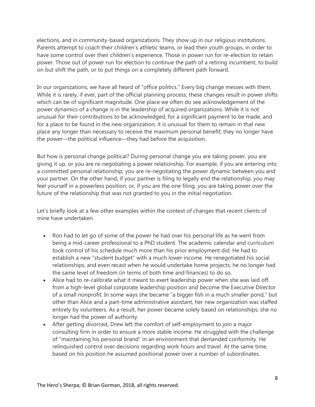elections, and in community-based organizations. They show up in our religious institutions. Parents attempt to coach their children's athletic teams, or lead their youth groups, in order to have some control over their children's experience. Those in power run for re-election to retain power. Those out of power run for election to continue the path of a retiring incumbent, to build on but shift the path, or to put things on a completely different path forward.

In our organizations, we have all heard of "office politics." Every big change messes with them. While it is rarely, if ever, part of the official planning process, these changes result in power shifts which can be of significant magnitude. One place we often do see acknowledgement of the power dynamics of a change is in the leadership of acquired organizations. While it is not unusual for their contributions to be acknowledged, for a significant payment to be made, and for a place to be found in the new organization, it is unusual for them to remain in that new place any longer than necessary to receive the maximum personal benefit; they no longer have the power—the political influence—they had before the acquisition.

But how is personal change political? During personal change you are taking power, you are giving it up, or you are re-negotiating a power relationship. For example, if you are entering into a committed personal relationship, you are re-negotiating the power dynamic between you and your partner. On the other hand, if your partner is filing to legally end the relationship, you may feel yourself in a powerless position; or, if you are the one filing, you are taking power over the future of the relationship that was not granted to you in the initial negotiation.

Let's briefly look at a few other examples within the context of changes that recent clients of mine have undertaken.

- Ron had to let go of some of the power he had over his personal life as he went from being a mid-career professional to a PhD student. The academic calendar and curriculum took control of his schedule much more than his prior employment did. He had to establish a new "student budget" with a much lower income. He renegotiated his social relationships, and even recast when he would undertake home projects; he no longer had the same level of freedom (in terms of both time and finances) to do so.
- Alice had to re-calibrate what it meant to exert leadership power when she was laid off from a high-level global corporate leadership position and become the Executive Director of a small nonprofit. In some ways she became "a bigger fish in a much smaller pond," but other than Alice and a part-time administrative assistant, her new organization was staffed entirely by volunteers. As a result, her power became solely based on relationships; she no longer had the power of authority.
- After getting divorced, Drew left the comfort of self-employment to join a major consulting firm in order to ensure a more stable income. He struggled with the challenge of "maintaining his personal brand" in an environment that demanded conformity. He relinquished control over decisions regarding work hours and travel. At the same time, based on his position he assumed positional power over a number of subordinates.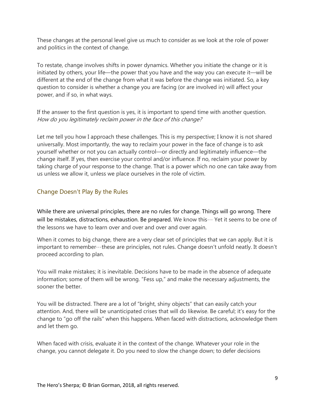These changes at the personal level give us much to consider as we look at the role of power and politics in the context of change.

To restate, change involves shifts in power dynamics. Whether you initiate the change or it is initiated by others, your life—the power that you have and the way you can execute it—will be different at the end of the change from what it was before the change was initiated. So, a key question to consider is whether a change you are facing (or are involved in) will affect your power, and if so, in what ways.

If the answer to the first question is yes, it is important to spend time with another question. How do you legitimately reclaim power in the face of this change?

Let me tell you how I approach these challenges. This is my perspective; I know it is not shared universally. Most importantly, the way to reclaim your power in the face of change is to ask yourself whether or not you can actually control—or directly and legitimately influence—the change itself. If yes, then exercise your control and/or influence. If no, reclaim your power by taking charge of your response to the change. That is a power which no one can take away from us unless we allow it, unless we place ourselves in the role of victim.

### <span id="page-8-0"></span>Change Doesn't Play By the Rules

While there are universal principles, there are no rules for change. Things will go wrong. There will be mistakes, distractions, exhaustion. Be prepared. We know this  $\cdots$  Yet it seems to be one of the lessons we have to learn over and over and over and over again.

When it comes to big change, there are a very clear set of principles that we can apply. But it is important to remember…these are principles, not rules. Change doesn't unfold neatly. It doesn't proceed according to plan.

You will make mistakes; it is inevitable. Decisions have to be made in the absence of adequate information; some of them will be wrong. "Fess up," and make the necessary adjustments, the sooner the better.

You will be distracted. There are a lot of "bright, shiny objects" that can easily catch your attention. And, there will be unanticipated crises that will do likewise. Be careful; it's easy for the change to "go off the rails" when this happens. When faced with distractions, acknowledge them and let them go.

When faced with crisis, evaluate it in the context of the change. Whatever your role in the change, you cannot delegate it. Do you need to slow the change down; to defer decisions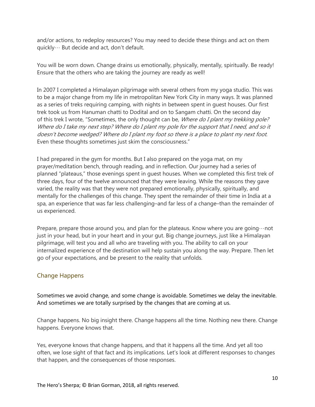and/or actions, to redeploy resources? You may need to decide these things and act on them quickly… But decide and act, don't default.

You will be worn down. Change drains us emotionally, physically, mentally, spiritually. Be ready! Ensure that the others who are taking the journey are ready as well!

In 2007 I completed a Himalayan pilgrimage with several others from my yoga studio. This was to be a major change from my life in metropolitan New York City in many ways. It was planned as a series of treks requiring camping, with nights in between spent in guest houses. Our first trek took us from Hanuman chatti to Dodital and on to Sangam chatti. On the second day of this trek I wrote, "Sometimes, the only thought can be, *Where do I plant my trekking pole?* Where do I take my next step? Where do I plant my pole for the support that I need, and so it doesn't become wedged? Where do I plant my foot so there is a place to plant my next foot. Even these thoughts sometimes just skim the consciousness."

I had prepared in the gym for months. But I also prepared on the yoga mat, on my prayer/meditation bench, through reading, and in reflection. Our journey had a series of planned "plateaus," those evenings spent in guest houses. When we completed this first trek of three days, four of the twelve announced that they were leaving. While the reasons they gave varied, the reality was that they were not prepared emotionally, physically, spiritually, and mentally for the challenges of this change. They spent the remainder of their time in India at a spa, an experience that was far less challenging–and far less of a change–than the remainder of us experienced.

Prepare, prepare those around you, and plan for the plateaus. Know where you are going  $\cdots$  not just in your head, but in your heart and in your gut. Big change journeys, just like a Himalayan pilgrimage, will test you and all who are traveling with you. The ability to call on your internalized experience of the destination will help sustain you along the way. Prepare. Then let go of your expectations, and be present to the reality that unfolds.

### <span id="page-9-0"></span>Change Happens

Sometimes we avoid change, and some change is avoidable. Sometimes we delay the inevitable. And sometimes we are totally surprised by the changes that are coming at us.

Change happens. No big insight there. Change happens all the time. Nothing new there. Change happens. Everyone knows that.

Yes, everyone knows that change happens, and that it happens all the time. And yet all too often, we lose sight of that fact and its implications. Let's look at different responses to changes that happen, and the consequences of those responses.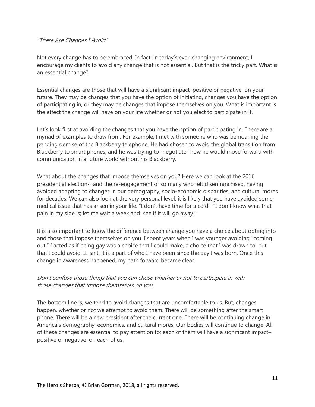#### "There Are Changes I Avoid"

Not every change has to be embraced. In fact, in today's ever-changing environment, I encourage my clients to avoid any change that is not essential. But that is the tricky part. What is an essential change?

Essential changes are those that will have a significant impact–positive or negative–on your future. They may be changes that you have the option of initiating, changes you have the option of participating in, or they may be changes that impose themselves on you. What is important is the effect the change will have on your life whether or not you elect to participate in it.

Let's look first at avoiding the changes that you have the option of participating in. There are a myriad of examples to draw from. For example, I met with someone who was bemoaning the pending demise of the Blackberry telephone. He had chosen to avoid the global transition from Blackberry to smart phones; and he was trying to "negotiate" how he would move forward with communication in a future world without his Blackberry.

What about the changes that impose themselves on you? Here we can look at the 2016 presidential election…and the re-engagement of so many who felt disenfranchised, having avoided adapting to changes in our demography, socio-economic disparities, and cultural mores for decades. We can also look at the very personal level. it is likely that you have avoided some medical issue that has arisen in your life. "I don't have time for a cold." "I don't know what that pain in my side is; let me wait a week and see if it will go away."

It is also important to know the difference between change you have a choice about opting into and those that impose themselves on you. I spent years when I was younger avoiding "coming out." I acted as if being gay was a choice that I could make, a choice that I was drawn to, but that I could avoid. It isn't; it is a part of who I have been since the day I was born. Once this change in awareness happened, my path forward became clear.

### Don't confuse those things that you can chose whether or not to participate in with those changes that impose themselves on you.

The bottom line is, we tend to avoid changes that are uncomfortable to us. But, changes happen, whether or not we attempt to avoid them. There will be something after the smart phone. There will be a new president after the current one. There will be continuing change in America's demography, economics, and cultural mores. Our bodies will continue to change. All of these changes are essential to pay attention to; each of them will have a significant impact– positive or negative–on each of us.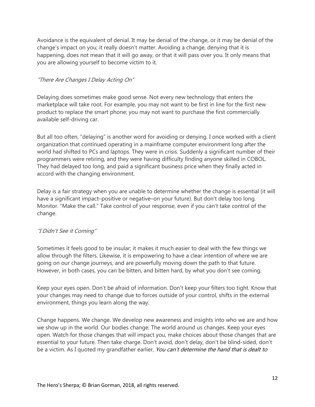Avoidance is the equivalent of denial. It may be denial of the change, or it may be denial of the change's impact on you; it really doesn't matter. Avoiding a change, denying that it is happening, does not mean that it will go away, or that it will pass over you. It only means that you are allowing yourself to become victim to it.

### "There Are Changes I Delay Acting On"

Delaying does sometimes make good sense. Not every new technology that enters the marketplace will take root. For example, you may not want to be first in line for the first new product to replace the smart phone; you may not want to purchase the first commercially available self-driving car.

But all too often, "delaying" is another word for avoiding or denying. I once worked with a client organization that continued operating in a mainframe computer environment long after the world had shifted to PCs and laptops. They were in crisis. Suddenly a significant number of their programmers were retiring, and they were having difficulty finding anyone skilled in COBOL. They had delayed too long, and paid a significant business price when they finally acted in accord with the changing environment.

Delay is a fair strategy when you are unable to determine whether the change is essential (it will have a significant impact–positive or negative–on your future). But don't delay too long. Monitor. "Make the call." Take control of your response, even if you can't take control of the change.

### "I Didn't See it Coming"

Sometimes it feels good to be insular; it makes it much easier to deal with the few things we allow through the filters. Likewise, it is empowering to have a clear intention of where we are going on our change journeys, and are powerfully moving down the path to that future. However, in both cases, you can be bitten, and bitten hard, by what you don't see coming.

Keep your eyes open. Don't be afraid of information. Don't keep your filters too tight. Know that your changes may need to change due to forces outside of your control, shifts in the external environment, things you learn along the way.

Change happens. We change. We develop new awareness and insights into who we are and how we show up in the world. Our bodies change. The world around us changes. Keep your eyes open. Watch for those changes that will impact you, make choices about those changes that are essential to your future. Then take charge. Don't avoid, don't delay, don't be blind-sided, don't be a victim. As I quoted my grandfather earlier, You can't determine the hand that is dealt to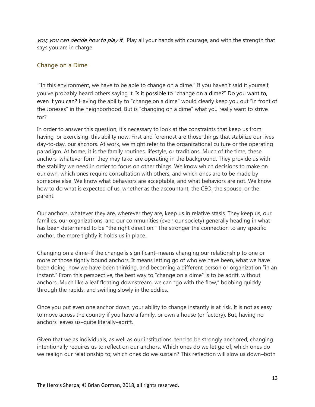you; you can decide how to play it. Play all your hands with courage, and with the strength that says you are in charge.

### <span id="page-12-0"></span>Change on a Dime

"In this environment, we have to be able to change on a dime." If you haven't said it yourself, you've probably heard others saying it. Is it possible to "change on a dime?" Do you want to, even if you can? Having the ability to "change on a dime" would clearly keep you out "in front of the Joneses" in the neighborhood. But is "changing on a dime" what you really want to strive for?

In order to answer this question, it's necessary to look at the constraints that keep us from having–or exercising–this ability now. First and foremost are those things that stabilize our lives day-to-day, our anchors. At work, we might refer to the organizational culture or the operating paradigm. At home, it is the family routines, lifestyle, or traditions. Much of the time, these anchors–whatever form they may take–are operating in the background. They provide us with the stability we need in order to focus on other things. We know which decisions to make on our own, which ones require consultation with others, and which ones are to be made by someone else. We know what behaviors are acceptable, and what behaviors are not. We know how to do what is expected of us, whether as the accountant, the CEO, the spouse, or the parent.

Our anchors, whatever they are, wherever they are, keep us in relative stasis. They keep us, our families, our organizations, and our communities (even our society) generally heading in what has been determined to be "the right direction." The stronger the connection to any specific anchor, the more tightly it holds us in place.

Changing on a dime–if the change is significant–means changing our relationship to one or more of those tightly bound anchors. It means letting go of who we have been, what we have been doing, how we have been thinking, and becoming a different person or organization "in an instant." From this perspective, the best way to "change on a dime" is to be adrift, without anchors. Much like a leaf floating downstream, we can "go with the flow," bobbing quickly through the rapids, and swirling slowly in the eddies.

Once you put even one anchor down, your ability to change instantly is at risk. It is not as easy to move across the country if you have a family, or own a house (or factory). But, having no anchors leaves us–quite literally–adrift.

Given that we as individuals, as well as our institutions, tend to be strongly anchored, changing intentionally requires us to reflect on our anchors. Which ones do we let go of; which ones do we realign our relationship to; which ones do we sustain? This reflection will slow us down–both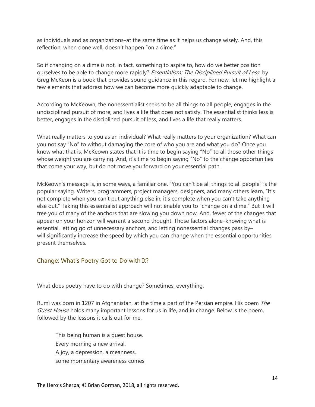as individuals and as organizations–at the same time as it helps us change wisely. And, this reflection, when done well, doesn't happen "on a dime."

So if changing on a dime is not, in fact, something to aspire to, how do we better position ourselves to be able to change more rapidly? *Essentialism: The Disciplined Pursuit of Less* by Greg McKeon is a book that provides sound guidance in this regard. For now, let me highlight a few elements that address how we can become more quickly adaptable to change.

According to McKeown, the nonessentialist seeks to be all things to all people, engages in the undisciplined pursuit of more, and lives a life that does not satisfy. The essentialist thinks less is better, engages in the disciplined pursuit of less, and lives a life that really matters.

What really matters to you as an individual? What really matters to your organization? What can you not say "No" to without damaging the core of who you are and what you do? Once you know what that is, McKeown states that it is time to begin saying "No" to all those other things whose weight you are carrying. And, it's time to begin saying "No" to the change opportunities that come your way, but do not move you forward on your essential path.

McKeown's message is, in some ways, a familiar one. "You can't be all things to all people" is the popular saying. Writers, programmers, project managers, designers, and many others learn, "It's not complete when you can't put anything else in, it's complete when you can't take anything else out." Taking this essentialist approach will not enable you to "change on a dime." But it will free you of many of the anchors that are slowing you down now. And, fewer of the changes that appear on your horizon will warrant a second thought. Those factors alone–knowing what is essential, letting go of unnecessary anchors, and letting nonessential changes pass by– will significantly increase the speed by which you can change when the essential opportunities present themselves.

### <span id="page-13-0"></span>Change: What's Poetry Got to Do with It?

What does poetry have to do with change? Sometimes, everything.

Rumi was born in 1207 in Afghanistan, at the time a part of the Persian empire. His poem The Guest House holds many important lessons for us in life, and in change. Below is the poem, followed by the lessons it calls out for me.

This being human is a guest house. Every morning a new arrival. A joy, a depression, a meanness, some momentary awareness comes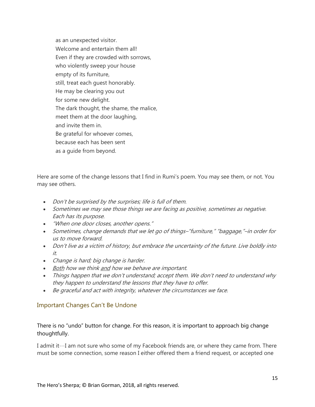as an unexpected visitor. Welcome and entertain them all! Even if they are crowded with sorrows, who violently sweep your house empty of its furniture, still, treat each guest honorably. He may be clearing you out for some new delight. The dark thought, the shame, the malice, meet them at the door laughing, and invite them in. Be grateful for whoever comes, because each has been sent as a guide from beyond.

Here are some of the change lessons that I find in Rumi's poem. You may see them, or not. You may see others.

- Don't be surprised by the surprises; life is full of them.
- Sometimes we may see those things we are facing as positive, sometimes as negative. Each has its purpose.
- "When one door closes, another opens."
- Sometimes, change demands that we let go of things–"furniture," "baggage,"–in order for us to move forward.
- Don't live as a victim of history, but embrace the uncertainty of the future. Live boldly into it.
- Change is hard; big change is harder.
- Both how we think and how we behave are important.
- Things happen that we don't understand; accept them. We don't need to understand why they happen to understand the lessons that they have to offer.
- Be graceful and act with integrity, whatever the circumstances we face.

### <span id="page-14-0"></span>Important Changes Can't Be Undone

### There is no "undo" button for change. For this reason, it is important to approach big change thoughtfully.

I admit it…I am not sure who some of my Facebook friends are, or where they came from. There must be some connection, some reason I either offered them a friend request, or accepted one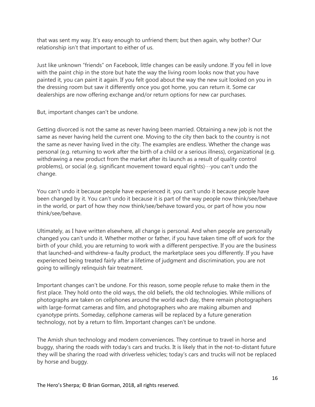that was sent my way. It's easy enough to unfriend them; but then again, why bother? Our relationship isn't that important to either of us.

Just like unknown "friends" on Facebook, little changes can be easily undone. If you fell in love with the paint chip in the store but hate the way the living room looks now that you have painted it, you can paint it again. If you felt good about the way the new suit looked on you in the dressing room but saw it differently once you got home, you can return it. Some car dealerships are now offering exchange and/or return options for new car purchases.

But, important changes can't be undone.

Getting divorced is not the same as never having been married. Obtaining a new job is not the same as never having held the current one. Moving to the city then back to the country is not the same as never having lived in the city. The examples are endless. Whether the change was personal (e.g. returning to work after the birth of a child or a serious illness), organizational (e.g. withdrawing a new product from the market after its launch as a result of quality control problems), or social (e.g. significant movement toward equal rights)…you can't undo the change.

You can't undo it because people have experienced it. you can't undo it because people have been changed by it. You can't undo it because it is part of the way people now think/see/behave in the world, or part of how they now think/see/behave toward you, or part of how you now think/see/behave.

Ultimately, as I have written elsewhere, all change is personal. And when people are personally changed you can't undo it. Whether mother or father, if you have taken time off of work for the birth of your child, you are returning to work with a different perspective. If you are the business that launched–and withdrew–a faulty product, the marketplace sees you differently. If you have experienced being treated fairly after a lifetime of judgment and discrimination, you are not going to willingly relinquish fair treatment.

Important changes can't be undone. For this reason, some people refuse to make them in the first place. They hold onto the old ways, the old beliefs, the old technologies. While millions of photographs are taken on cellphones around the world each day, there remain photographers with large-format cameras and film, and photographers who are making albumen and cyanotype prints. Someday, cellphone cameras will be replaced by a future generation technology, not by a return to film. Important changes can't be undone.

The Amish shun technology and modern conveniences. They continue to travel in horse and buggy, sharing the roads with today's cars and trucks. It is likely that in the not-to-distant future they will be sharing the road with driverless vehicles; today's cars and trucks will not be replaced by horse and buggy.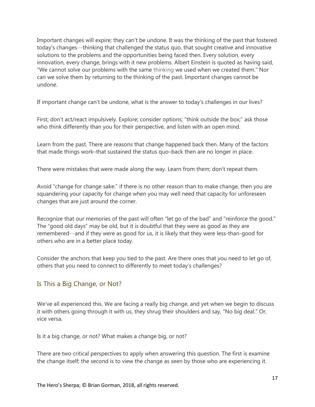Important changes will expire; they can't be undone. It was the thinking of the past that fostered today's changes…thinking that challenged the status quo, that sought creative and innovative solutions to the problems and the opportunities being faced then. Every solution, every innovation, every change, brings with it new problems. Albert Einstein is quoted as having said, "We cannot solve our problems with the same thinking we used when we created them." Nor can we solve them by returning to the thinking of the past. Important changes cannot be undone.

If important change can't be undone, what is the answer to today's challenges in our lives?

First, don't act/react impulsively. Explore; consider options; "think outside the box;" ask those who think differently than you for their perspective, and listen with an open mind.

Learn from the past. There are reasons that change happened back then. Many of the factors that made things work–that sustained the status quo–back then are no longer in place.

There were mistakes that were made along the way. Learn from them; don't repeat them.

Avoid "change for change sake." if there is no other reason than to make change, then you are squandering your capacity for change when you may well need that capacity for unforeseen changes that are just around the corner.

Recognize that our memories of the past will often "let go of the bad" and "reinforce the good." The "good old days" may be old, but it is doubtful that they were as good as they are remembered…and if they were as good for us, it is likely that they were less-than-good for others who are in a better place today.

Consider the anchors that keep you tied to the past. Are there ones that you need to let go of, others that you need to connect to differently to meet today's challenges?

### <span id="page-16-0"></span>Is This a Big Change, or Not?

We've all experienced this. We are facing a really big change, and yet when we begin to discuss it with others going through it with us, they shrug their shoulders and say, "No big deal." Or, vice versa.

Is it a big change, or not? What makes a change big, or not?

There are two critical perspectives to apply when answering this question. The first is examine the change itself; the second is to view the change as seen by those who are experiencing it.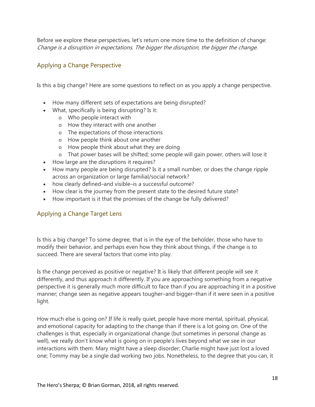Before we explore these perspectives, let's return one more time to the definition of change: Change is a disruption in expectations. The bigger the disruption, the bigger the change.

### <span id="page-17-0"></span>Applying a Change Perspective

Is this a big change? Here are some questions to reflect on as you apply a change perspective.

- How many different sets of expectations are being disrupted?
- What, specifically is being disrupting? Is it:
	- o Who people interact with
	- o How they interact with one another
	- o The expectations of those interactions
	- o How people think about one another
	- o How people think about what they are doing
	- o That power bases will be shifted; some people will gain power, others will lose it
- How large are the disruptions it requires?
- How many people are being disrupted? Is it a small number, or does the change ripple across an organization or large familial/social network?
- how clearly defined–and visible–is a successful outcome?
- How clear is the journey from the present state to the desired future state?
- How important is it that the promises of the change be fully delivered?

### <span id="page-17-1"></span>Applying a Change Target Lens

Is this a big change? To some degree, that is in the eye of the beholder, those who have to modify their behavior, and perhaps even how they think about things, if the change is to succeed. There are several factors that come into play.

Is the change perceived as positive or negative? It is likely that different people will see it differently, and thus approach it differently. If you are approaching something from a negative perspective it is generally much more difficult to face than if you are approaching it in a positive manner; change seen as negative appears tougher–and bigger–than if it were seen in a positive light.

How much else is going on? If life is really quiet, people have more mental, spiritual, physical, and emotional capacity for adapting to the change than if there is a lot going on. One of the challenges is that, especially in organizational change (but sometimes in personal change as well), we really don't know what is going on in people's lives beyond what we see in our interactions with them. Mary might have a sleep disorder; Charlie might have just lost a loved one; Tommy may be a single dad working two jobs. Nonetheless, to the degree that you can, it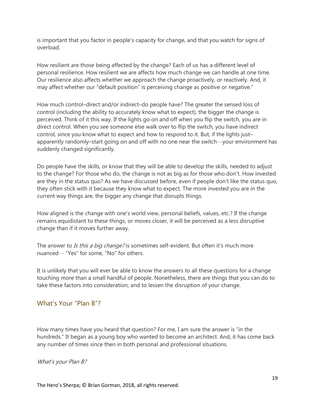is important that you factor in people's capacity for change, and that you watch for signs of overload.

How resilient are those being affected by the change? Each of us has a different level of personal resilience. How resilient we are affects how much change we can handle at one time. Our resilience also affects whether we approach the change proactively, or reactively. And, it may affect whether our "default position" is perceiving change as positive or negative."

How much control–direct and/or indirect–do people have? The greater the sensed loss of control (including the ability to accurately know what to expect), the bigger the change is perceived. Think of it this way. If the lights go on and off when you flip the switch, you are in direct control. When you see someone else walk over to flip the switch, you have indirect control, since you know what to expect and how to respond to it. But, if the lights just– apparently randomly–start going on and off with no one near the switch…your environment has suddenly changed significantly.

Do people have the skills, or know that they will be able to develop the skills, needed to adjust to the change? For those who do, the change is not as big as for those who don't. How invested are they in the status quo? As we have discussed before, even if people don't like the status quo, they often stick with it because they know what to expect. The more invested you are in the current way things are, the bigger any change that disrupts things.

How aligned is the change with one's world view, personal beliefs, values, etc.? If the change remains equidistant to these things, or moves closer, it will be perceived as a less disruptive change than if it moves further away.

The answer to Is this a big change? is sometimes self-evident. But often it's much more nuanced… "Yes" for some, "No" for others.

It is unlikely that you will ever be able to know the answers to all these questions for a change touching more than a small handful of people. Nonetheless, there are things that you can do to take these factors into consideration, and to lessen the disruption of your change.

### <span id="page-18-0"></span>What's Your "Plan B"?

How many times have you heard that question? For me, I am sure the answer is "in the hundreds." It began as a young boy who wanted to become an architect. And, it has come back any number of times since then in both personal and professional situations.

What's your Plan B?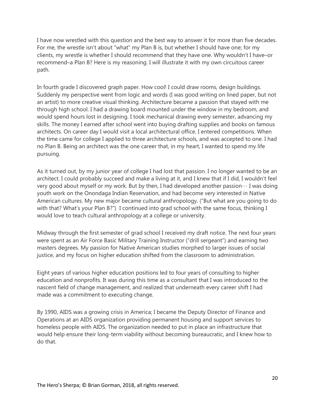I have now wrestled with this question and the best way to answer it for more than five decades. For me, the wrestle isn't about "what" my Plan B is, but whether I should have one; for my clients, my wrestle is whether I should recommend that they have one. Why wouldn't I have–or recommend–a Plan B? Here is my reasoning. I will illustrate it with my own circuitous career path.

In fourth grade I discovered graph paper. How cool! I could draw rooms, design buildings. Suddenly my perspective went from logic and words (I was good writing on lined paper, but not an artist) to more creative visual thinking. Architecture became a passion that stayed with me through high school. I had a drawing board mounted under the window in my bedroom, and would spend hours lost in designing. I took mechanical drawing every semester, advancing my skills. The money I earned after school went into buying drafting supplies and books on famous architects. On career day I would visit a local architectural office. I entered competitions. When the time came for college I applied to three architecture schools, and was accepted to one. I had no Plan B. Being an architect was the one career that, in my heart, I wanted to spend my life pursuing.

As it turned out, by my junior year of college I had lost that passion. I no longer wanted to be an architect. I could probably succeed and make a living at it, and I knew that if I did, I wouldn't feel very good about myself or my work. But by then, I had developed another passion… I was doing youth work on the Onondaga Indian Reservation, and had become very interested in Native American cultures. My new major became cultural anthropology. ("But what are you going to do with that? What's your Plan B?") I continued into grad school with the same focus, thinking I would love to teach cultural anthropology at a college or university.

Midway through the first semester of grad school I received my draft notice. The next four years were spent as an Air Force Basic Military Training Instructor ("drill sergeant") and earning two masters degrees. My passion for Native American studies morphed to larger issues of social justice, and my focus on higher education shifted from the classroom to administration.

Eight years of various higher education positions led to four years of consulting to higher education and nonprofits. It was during this time as a consultant that I was introduced to the nascent field of change management, and realized that underneath every career shift I had made was a commitment to executing change.

By 1990, AIDS was a growing crisis in America; I became the Deputy Director of Finance and Operations at an AIDS organization providing permanent housing and support services to homeless people with AIDS. The organization needed to put in place an infrastructure that would help ensure their long-term viability without becoming bureaucratic, and I knew how to do that.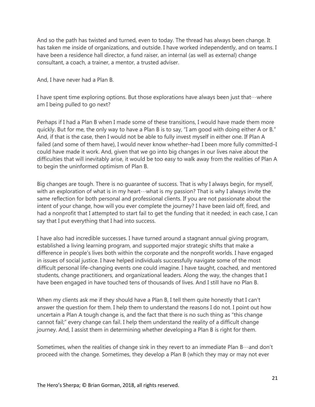And so the path has twisted and turned, even to today. The thread has always been change. It has taken me inside of organizations, and outside. I have worked independently, and on teams. I have been a residence hall director, a fund raiser, an internal (as well as external) change consultant, a coach, a trainer, a mentor, a trusted adviser.

And, I have never had a Plan B.

I have spent time exploring options. But those explorations have always been just that  $\cdots$  where am I being pulled to go next?

Perhaps if I had a Plan B when I made some of these transitions, I would have made them more quickly. But for me, the only way to have a Plan B is to say, "I am good with doing either A or B." And, if that is the case, then I would not be able to fully invest myself in either one. If Plan A failed (and some of them have), I would never know whether–had I been more fully committed–I could have made it work. And, given that we go into big changes in our lives naive about the difficulties that will inevitably arise, it would be too easy to walk away from the realities of Plan A to begin the uninformed optimism of Plan B.

Big changes are tough. There is no guarantee of success. That is why I always begin, for myself, with an exploration of what is in my heart…what is my passion? That is why I always invite the same reflection for both personal and professional clients. If you are not passionate about the intent of your change, how will you ever complete the journey? I have been laid off, fired, and had a nonprofit that I attempted to start fail to get the funding that it needed; in each case, I can say that I put everything that I had into success.

I have also had incredible successes. I have turned around a stagnant annual giving program, established a living learning program, and supported major strategic shifts that make a difference in people's lives both within the corporate and the nonprofit worlds. I have engaged in issues of social justice. I have helped individuals successfully navigate some of the most difficult personal life-changing events one could imagine. I have taught, coached, and mentored students, change practitioners, and organizational leaders. Along the way, the changes that I have been engaged in have touched tens of thousands of lives. And I still have no Plan B.

When my clients ask me if they should have a Plan B, I tell them quite honestly that I can't answer the question for them. I help them to understand the reasons I do not. I point out how uncertain a Plan A tough change is, and the fact that there is no such thing as "this change cannot fail;" every change can fail. I help them understand the reality of a difficult change journey. And, I assist them in determining whether developing a Plan B is right for them.

Sometimes, when the realities of change sink in they revert to an immediate Plan  $B \cdots$  and don't proceed with the change. Sometimes, they develop a Plan B (which they may or may not ever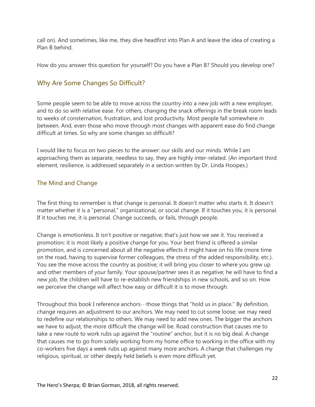call on). And sometimes, like me, they dive headfirst into Plan A and leave the idea of creating a Plan B behind.

How do you answer this question for yourself? Do you have a Plan B? Should you develop one?

### <span id="page-21-0"></span>Why Are Some Changes So Difficult?

Some people seem to be able to move across the country into a new job with a new employer, and to do so with relative ease. For others, changing the snack offerings in the break room leads to weeks of consternation, frustration, and lost productivity. Most people fall somewhere in between. And, even those who move through most changes with apparent ease do find change difficult at times. So why are some changes so difficult?

I would like to focus on two pieces to the answer: our skills and our minds. While I am approaching them as separate, needless to say, they are highly inter-related. (An important third element, resilience, is addressed separately in a section written by Dr. Linda Hoopes.)

### <span id="page-21-1"></span>The Mind and Change

The first thing to remember is that change is personal. It doesn't matter who starts it. It doesn't matter whether it is a "personal," organizational, or social change. If it touches you, it is personal. If it touches me, it is personal. Change succeeds, or fails, through people.

Change is emotionless. It isn't positive or negative; that's just how we see it. You received a promotion; it is most likely a positive change for you. Your best friend is offered a similar promotion, and is concerned about all the negative effects it might have on his life (more time on the road, having to supervise former colleagues, the stress of the added responsibility, etc.). You see the move across the country as positive; it will bring you closer to where you grew up and other members of your family. Your spouse/partner sees it as negative; he will have to find a new job, the children will have to re-establish new friendships in new schools, and so on. How we perceive the change will affect how easy or difficult it is to move through.

Throughout this book I reference anchors  $\cdots$  those things that "hold us in place." By definition, change requires an adjustment to our anchors. We may need to cut some loose; we may need to redefine our relationships to others. We may need to add new ones. The bigger the anchors we have to adjust, the more difficult the change will be. Road construction that causes me to take a new route to work rubs up against the "routine" anchor, but it is no big deal. A change that causes me to go from solely working from my home office to working in the office with my co-workers five days a week rubs up against many more anchors. A change that challenges my religious, spiritual, or other deeply held beliefs is even more difficult yet.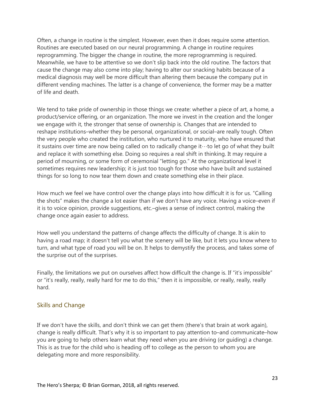Often, a change in routine is the simplest. However, even then it does require some attention. Routines are executed based on our neural programming. A change in routine requires reprogramming. The bigger the change in routine, the more reprogramming is required. Meanwhile, we have to be attentive so we don't slip back into the old routine. The factors that cause the change may also come into play; having to alter our snacking habits because of a medical diagnosis may well be more difficult than altering them because the company put in different vending machines. The latter is a change of convenience, the former may be a matter of life and death.

We tend to take pride of ownership in those things we create: whether a piece of art, a home, a product/service offering, or an organization. The more we invest in the creation and the longer we engage with it, the stronger that sense of ownership is. Changes that are intended to reshape institutions–whether they be personal, organizational, or social–are really tough. Often the very people who created the institution, who nurtured it to maturity, who have ensured that it sustains over time are now being called on to radically change it…to let go of what they built and replace it with something else. Doing so requires a real shift in thinking. It may require a period of mourning, or some form of ceremonial "letting go." At the organizational level it sometimes requires new leadership; it is just too tough for those who have built and sustained things for so long to now tear them down and create something else in their place.

How much we feel we have control over the change plays into how difficult it is for us. "Calling the shots" makes the change a lot easier than if we don't have any voice. Having a voice–even if it is to voice opinion, provide suggestions, etc.–gives a sense of indirect control, making the change once again easier to address.

How well you understand the patterns of change affects the difficulty of change. It is akin to having a road map; it doesn't tell you what the scenery will be like, but it lets you know where to turn, and what type of road you will be on. It helps to demystify the process, and takes some of the surprise out of the surprises.

Finally, the limitations we put on ourselves affect how difficult the change is. If "it's impossible" or "it's really, really, really hard for me to do this," then it is impossible, or really, really, really hard.

### <span id="page-22-0"></span>Skills and Change

If we don't have the skills, and don't think we can get them (there's that brain at work again), change is really difficult. That's why it is so important to pay attention to–and communicate–how you are going to help others learn what they need when you are driving (or guiding) a change. This is as true for the child who is heading off to college as the person to whom you are delegating more and more responsibility.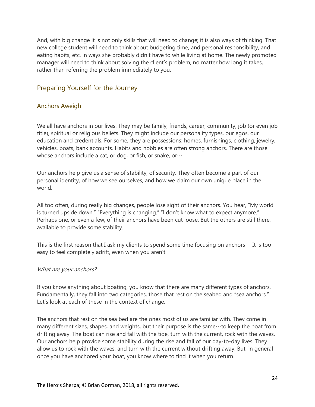And, with big change it is not only skills that will need to change; it is also ways of thinking. That new college student will need to think about budgeting time, and personal responsibility, and eating habits, etc. in ways she probably didn't have to while living at home. The newly promoted manager will need to think about solving the client's problem, no matter how long it takes, rather than referring the problem immediately to you.

### <span id="page-23-0"></span>Preparing Yourself for the Journey

### <span id="page-23-1"></span>Anchors Aweigh

We all have anchors in our lives. They may be family, friends, career, community, job (or even job title), spiritual or religious beliefs. They might include our personality types, our egos, our education and credentials. For some, they are possessions: homes, furnishings, clothing, jewelry, vehicles, boats, bank accounts. Habits and hobbies are often strong anchors. There are those whose anchors include a cat, or dog, or fish, or snake, or…

Our anchors help give us a sense of stability, of security. They often become a part of our personal identity, of how we see ourselves, and how we claim our own unique place in the world.

All too often, during really big changes, people lose sight of their anchors. You hear, "My world is turned upside down." "Everything is changing." "I don't know what to expect anymore." Perhaps one, or even a few, of their anchors have been cut loose. But the others are still there, available to provide some stability.

This is the first reason that I ask my clients to spend some time focusing on anchors $\cdots$  It is too easy to feel completely adrift, even when you aren't.

#### What are your anchors?

If you know anything about boating, you know that there are many different types of anchors. Fundamentally, they fall into two categories, those that rest on the seabed and "sea anchors." Let's look at each of these in the context of change.

The anchors that rest on the sea bed are the ones most of us are familiar with. They come in many different sizes, shapes, and weights, but their purpose is the same…to keep the boat from drifting away. The boat can rise and fall with the tide, turn with the current, rock with the waves. Our anchors help provide some stability during the rise and fall of our day-to-day lives. They allow us to rock with the waves, and turn with the current without drifting away. But, in general once you have anchored your boat, you know where to find it when you return.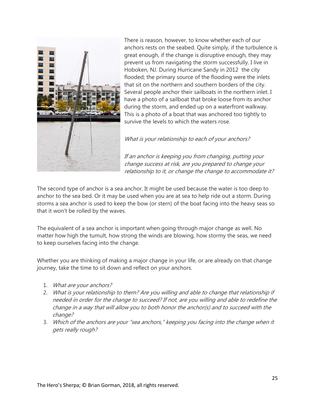

There is reason, however, to know whether each of our anchors rests on the seabed. Quite simply, if the turbulence is great enough, if the change is disruptive enough, they may prevent us from navigating the storm successfully. I live in Hoboken, NJ. During Hurricane Sandy in 2012 the city flooded; the primary source of the flooding were the inlets that sit on the northern and southern borders of the city. Several people anchor their sailboats in the northern inlet. I have a photo of a sailboat that broke loose from its anchor during the storm, and ended up on a waterfront walkway. This is a photo of a boat that was anchored too tightly to survive the levels to which the waters rose.

What is your relationship to each of your anchors?

If an anchor is keeping you from changing, putting your change success at risk, are you prepared to change your relationship to it, or change the change to accommodate it?

The second type of anchor is a sea anchor. It might be used because the water is too deep to anchor to the sea bed. Or it may be used when you are at sea to help ride out a storm. During storms a sea anchor is used to keep the bow (or stern) of the boat facing into the heavy seas so that it won't be rolled by the waves.

The equivalent of a sea anchor is important when going through major change as well. No matter how high the tumult, how strong the winds are blowing, how stormy the seas, we need to keep ourselves facing into the change.

Whether you are thinking of making a major change in your life, or are already on that change journey, take the time to sit down and reflect on your anchors.

- 1. What are your anchors?
- 2. What is your relationship to them? Are you willing and able to change that relationship if needed in order for the change to succeed? If not, are you willing and able to redefine the change in a way that will allow you to both honor the anchor(s) and to succeed with the change?
- 3. Which of the anchors are your "sea anchors," keeping you facing into the change when it gets really rough?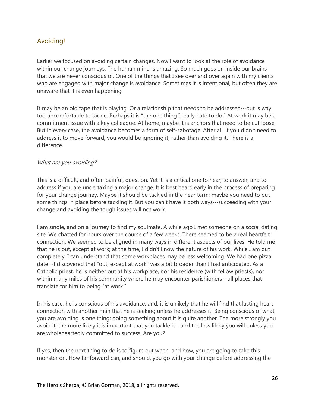### <span id="page-25-0"></span>Avoiding!

Earlier we focused on avoiding certain changes. Now I want to look at the role of avoidance within our change journeys. The human mind is amazing. So much goes on inside our brains that we are never conscious of. One of the things that I see over and over again with my clients who are engaged with major change is avoidance. Sometimes it is intentional, but often they are unaware that it is even happening.

It may be an old tape that is playing. Or a relationship that needs to be addressed…but is way too uncomfortable to tackle. Perhaps it is "the one thing I really hate to do." At work it may be a commitment issue with a key colleague. At home, maybe it is anchors that need to be cut loose. But in every case, the avoidance becomes a form of self-sabotage. After all, if you didn't need to address it to move forward, you would be ignoring it, rather than avoiding it. There is a difference.

#### What are you avoiding?

This is a difficult, and often painful, question. Yet it is a critical one to hear, to answer, and to address if you are undertaking a major change. It is best heard early in the process of preparing for your change journey. Maybe it should be tackled in the near term; maybe you need to put some things in place before tackling it. But you can't have it both ways…succeeding with your change and avoiding the tough issues will not work.

I am single, and on a journey to find my soulmate. A while ago I met someone on a social dating site. We chatted for hours over the course of a few weeks. There seemed to be a real heartfelt connection. We seemed to be aligned in many ways in different aspects of our lives. He told me that he is out, except at work; at the time, I didn't know the nature of his work. While I am out completely, I can understand that some workplaces may be less welcoming. We had one pizza date…I discovered that "out, except at work" was a bit broader than I had anticipated. As a Catholic priest, he is neither out at his workplace, nor his residence (with fellow priests), nor within many miles of his community where he may encounter parishioners ··· all places that translate for him to being "at work."

In his case, he is conscious of his avoidance; and, it is unlikely that he will find that lasting heart connection with another man that he is seeking unless he addresses it. Being conscious of what you are avoiding is one thing; doing something about it is quite another. The more strongly you avoid it, the more likely it is important that you tackle it…and the less likely you will unless you are wholeheartedly committed to success. Are you?

If yes, then the next thing to do is to figure out when, and how, you are going to take this monster on. How far forward can, and should, you go with your change before addressing the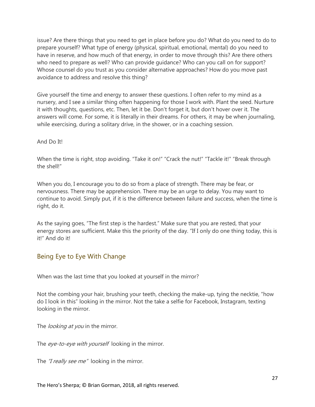issue? Are there things that you need to get in place before you do? What do you need to do to prepare yourself? What type of energy (physical, spiritual, emotional, mental) do you need to have in reserve, and how much of that energy, in order to move through this? Are there others who need to prepare as well? Who can provide guidance? Who can you call on for support? Whose counsel do you trust as you consider alternative approaches? How do you move past avoidance to address and resolve this thing?

Give yourself the time and energy to answer these questions. I often refer to my mind as a nursery, and I see a similar thing often happening for those I work with. Plant the seed. Nurture it with thoughts, questions, etc. Then, let it be. Don't forget it, but don't hover over it. The answers will come. For some, it is literally in their dreams. For others, it may be when journaling, while exercising, during a solitary drive, in the shower, or in a coaching session.

#### And Do It!

When the time is right, stop avoiding. "Take it on!" "Crack the nut!" "Tackle it!" "Break through the shell!"

When you do, I encourage you to do so from a place of strength. There may be fear, or nervousness. There may be apprehension. There may be an urge to delay. You may want to continue to avoid. Simply put, if it is the difference between failure and success, when the time is right, do it.

As the saying goes, "The first step is the hardest." Make sure that you are rested, that your energy stores are sufficient. Make this the priority of the day. "If I only do one thing today, this is it!" And do it!

### <span id="page-26-0"></span>Being Eye to Eye With Change

When was the last time that you looked at yourself in the mirror?

Not the combing your hair, brushing your teeth, checking the make-up, tying the necktie, "how do I look in this" looking in the mirror. Not the take a selfie for Facebook, Instagram, texting looking in the mirror.

The *looking at you* in the mirror.

The eye-to-eye with yourself looking in the mirror.

The "I really see me" looking in the mirror.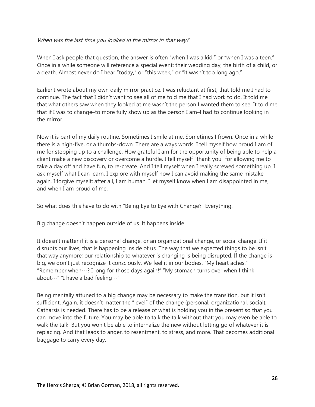#### When was the last time you looked in the mirror in that way?

When I ask people that question, the answer is often "when I was a kid," or "when I was a teen." Once in a while someone will reference a special event: their wedding day, the birth of a child, or a death. Almost never do I hear "today," or "this week," or "it wasn't too long ago."

Earlier I wrote about my own daily mirror practice. I was reluctant at first; that told me I had to continue. The fact that I didn't want to see all of me told me that I had work to do. It told me that what others saw when they looked at me wasn't the person I wanted them to see. It told me that if I was to change–to more fully show up as the person I am–I had to continue looking in the mirror.

Now it is part of my daily routine. Sometimes I smile at me. Sometimes I frown. Once in a while there is a high-five, or a thumbs-down. There are always words. I tell myself how proud I am of me for stepping up to a challenge. How grateful I am for the opportunity of being able to help a client make a new discovery or overcome a hurdle. I tell myself "thank you" for allowing me to take a day off and have fun, to re-create. And I tell myself when I really screwed something up. I ask myself what I can learn. I explore with myself how I can avoid making the same mistake again. I forgive myself; after all, I am human. I let myself know when I am disappointed in me, and when I am proud of me.

So what does this have to do with "Being Eye to Eye with Change?" Everything.

Big change doesn't happen outside of us. It happens inside.

It doesn't matter if it is a personal change, or an organizational change, or social change. If it disrupts our lives, that is happening inside of us. The way that we expected things to be isn't that way anymore; our relationship to whatever is changing is being disrupted. If the change is big, we don't just recognize it consciously. We feel it in our bodies. "My heart aches." "Remember when…? I long for those days again!" "My stomach turns over when I think about…" "I have a bad feeling…"

Being mentally attuned to a big change may be necessary to make the transition, but it isn't sufficient. Again, it doesn't matter the "level" of the change (personal, organizational, social). Catharsis is needed. There has to be a release of what is holding you in the present so that you can move into the future. You may be able to talk the talk without that; you may even be able to walk the talk. But you won't be able to internalize the new without letting go of whatever it is replacing. And that leads to anger, to resentment, to stress, and more. That becomes additional baggage to carry every day.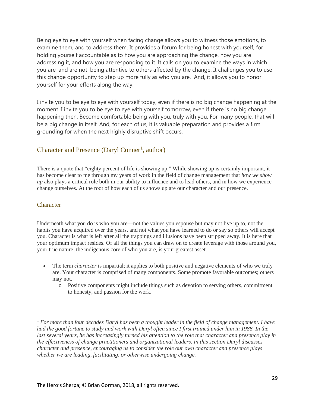Being eye to eye with yourself when facing change allows you to witness those emotions, to examine them, and to address them. It provides a forum for being honest with yourself, for holding yourself accountable as to how you are approaching the change, how you are addressing it, and how you are responding to it. It calls on you to examine the ways in which you are–and are not–being attentive to others affected by the change. It challenges you to use this change opportunity to step up more fully as who you are. And, it allows you to honor yourself for your efforts along the way.

I invite you to be eye to eye with yourself today, even if there is no big change happening at the moment. I invite you to be eye to eye with yourself tomorrow, even if there is no big change happening then. Become comfortable being with you, truly with you. For many people, that will be a big change in itself. And, for each of us, it is valuable preparation and provides a firm grounding for when the next highly disruptive shift occurs.

### <span id="page-28-0"></span>Character and Presence (Daryl Conner<sup>[1](#page-28-2)</sup>, author)

There is a quote that "eighty percent of life is showing up." While showing up is certainly important, it has become clear to me through my years of work in the field of change management that *how we show up* also plays a critical role both in our ability to influence and to lead others, and in how we experience change ourselves. At the root of how each of us shows up are our character and our presence.

#### <span id="page-28-1"></span>**Character**

 $\overline{a}$ 

Underneath what you do is who you are—not the values you espouse but may not live up to, not the habits you have acquired over the years, and not what you have learned to do or say so others will accept you. Character is what is left after all the trappings and illusions have been stripped away. It is here that your optimum impact resides. Of all the things you can draw on to create leverage with those around you, your true nature, the indigenous core of who you are, is your greatest asset.

- The term *character* is impartial; it applies to both positive and negative elements of who we truly are. Your character is comprised of many components. Some promote favorable outcomes; others may not.
	- o Positive components might include things such as devotion to serving others, commitment to honesty, and passion for the work.

<span id="page-28-2"></span><sup>1</sup> *For more than four decades Daryl has been a thought leader in the field of change management. I have had the good fortune to study and work with Daryl often since I first trained under him in 1988. In the*  last several years, he has increasingly turned his attention to the role that character and presence play in *the effectiveness of change practitioners and organizational leaders. In this section Daryl discusses character and presence, encouraging us to consider the role our own character and presence plays whether we are leading, facilitating, or otherwise undergoing change.*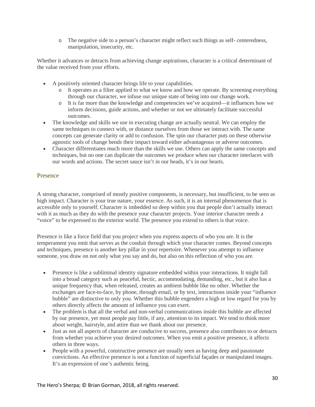o The negative side to a person's character might reflect such things as self- centeredness, manipulation, insecurity, etc.

Whether it advances or detracts from achieving change aspirations, character is a critical determinant of the value received from your efforts.

- A positively oriented character brings life to your capabilities.
	- o It operates as a filter applied to what we know and how we operate. By screening everything through our character, we infuse our unique state of being into our change work.
	- o It is far more than the knowledge and competencies we've acquired—it influences how we inform decisions, guide actions, and whether or not we ultimately facilitate successful outcomes.
- The knowledge and skills we use in executing change are actually neutral. We can employ the same techniques to connect with, or distance ourselves from those we interact with. The same concepts can generate clarity or add to confusion. The spin our character puts on these otherwise agnostic tools of change bends their impact toward either advantageous or adverse outcomes.
- Character differentiates much more than the skills we use. Others can apply the same concepts and techniques, but no one can duplicate the outcomes we produce when our character interlaces with our words and actions. The secret sauce isn't in our heads, it's in our hearts.

#### <span id="page-29-0"></span>Presence

A strong character, comprised of mostly positive components, is necessary, but insufficient, to be seen as high impact. Character is your true nature, your essence. As such, it is an internal phenomenon that is accessible only to yourself. Character is imbedded so deep within you that people don't actually interact with it as much as they do with the presence your character projects. Your interior character needs a "voice" to be expressed to the exterior world. The presence you extend to others is that voice.

Presence is like a force field that you project when you express aspects of who you are. It is the temperament you emit that serves as the conduit through which your character comes. Beyond concepts and techniques, presence is another key pillar in your repertoire. Whenever you attempt to influence someone, you draw on not only what you say and do, but also on this reflection of who you are.

- Presence is like a subliminal identity signature embedded within your interactions. It might fall into a broad category such as peaceful, hectic, accommodating, demanding, etc., but it also has a unique frequency that, when released, creates an ambient bubble like no other. Whether the exchanges are face-to-face, by phone, through email, or by text, interactions inside your "influence bubble" are distinctive to only you. Whether this bubble engenders a high or low regard for you by others directly affects the amount of influence you can exert.
- The problem is that all the verbal and non-verbal communications inside this bubble are affected by our presence, yet most people pay little, if any, attention to its impact. We tend to think more about weight, hairstyle, and attire than we thank about our presence.
- Just as not all aspects of character are conducive to success, presence also contributes to or detracts from whether you achieve your desired outcomes. When you emit a positive presence, it affects others in three ways.
- People with a powerful, constructive presence are usually seen as having deep and passionate convictions. An effective presence is not a function of superficial façades or manipulated images. It's an expression of one's authentic being.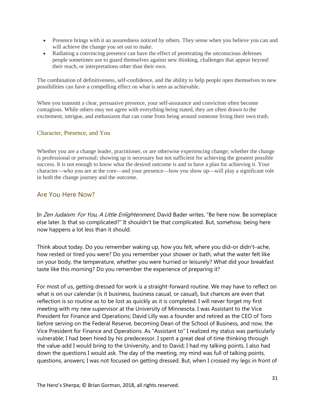- Presence brings with it an assuredness noticed by others. They sense when you believe you can and will achieve the change you set out to make.
- Radiating a convincing presence can have the effect of penetrating the unconscious defenses people sometimes use to guard themselves against new thinking, challenges that appear beyond their reach, or interpretations other than their own.

The combination of definitiveness, self-confidence, and the ability to help people open themselves to new possibilities can have a compelling effect on what is seen as achievable.

When you transmit a clear, persuasive presence, your self-assurance and conviction often become contagious. While others may not agree with everything being stated, they are often drawn to the excitement, intrigue, and enthusiasm that can come from being around someone living their own truth.

#### <span id="page-30-0"></span>Character, Presence, and You

Whether you are a change leader, practitioner, or are otherwise experiencing change; whether the change is professional or personal; showing up is necessary but not sufficient for achieving the greatest possible success. It is not enough to know what the desired outcome is and to have a plan for achieving it. Your character—who you are at the core—and your presence—how you show up—will play a significant role in both the change journey and the outcome.

### <span id="page-30-1"></span>Are You Here Now?

In Zen Judaism: For You, A Little Enlightenment, David Bader writes, "Be here now. Be someplace else later. Is that so complicated?" It shouldn't be that complicated. But, somehow, being here now happens a lot less than it should.

Think about today. Do you remember waking up, how you felt, where you did–or didn't–ache, how rested or tired you were? Do you remember your shower or bath, what the water felt like on your body, the temperature, whether you were hurried or leisurely? What did your breakfast taste like this morning? Do you remember the experience of preparing it?

For most of us, getting dressed for work is a straight-forward routine. We may have to reflect on what is on our calendar (is it business, business casual, or casual), but chances are even that reflection is so routine as to be lost as quickly as it is completed. I will never forget my first meeting with my new supervisor at the University of Minnesota. I was Assistant to the Vice President for Finance and Operations; David Lilly was a founder and retired as the CEO of Toro before serving on the Federal Reserve, becoming Dean of the School of Business, and now, the Vice President for Finance and Operations. As "Assistant to" I realized my status was particularly vulnerable; I had been hired by his predecessor. I spent a great deal of time thinking through the value-add I would bring to the University, and to David; I had my talking points. I also had down the questions I would ask. The day of the meeting, my mind was full of talking points, questions, answers; I was not focused on getting dressed. But, when I crossed my legs in front of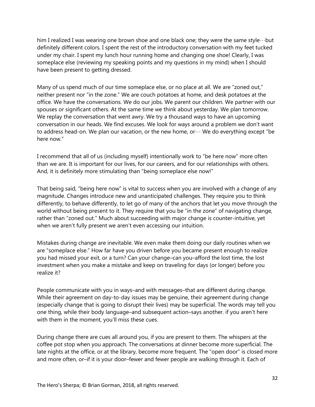him I realized I was wearing one brown shoe and one black one; they were the same style…but definitely different colors. I spent the rest of the introductory conversation with my feet tucked under my chair. I spent my lunch hour running home and changing one shoe! Clearly, I was someplace else (reviewing my speaking points and my questions in my mind) when I should have been present to getting dressed.

Many of us spend much of our time someplace else, or no place at all. We are "zoned out," neither present nor "in the zone." We are couch potatoes at home, and desk potatoes at the office. We have the conversations. We do our jobs. We parent our children. We partner with our spouses or significant others. At the same time we think about yesterday. We plan tomorrow. We replay the conversation that went awry. We try a thousand ways to have an upcoming conversation in our heads. We find excuses. We look for ways around a problem we don't want to address head-on. We plan our vacation, or the new home, or… We do everything except "be here now."

I recommend that all of us (including myself) intentionally work to "be here now" more often than we are. It is important for our lives, for our careers, and for our relationships with others. And, it is definitely more stimulating than "being someplace else now!"

That being said, "being here now" is vital to success when you are involved with a change of any magnitude. Changes introduce new and unanticipated challenges. They require you to think differently, to behave differently, to let go of many of the anchors that let you move through the world without being present to it. They require that you be "in the zone" of navigating change, rather than "zoned out." Much about succeeding with major change is counter-intuitive, yet when we aren't fully present we aren't even accessing our intuition.

Mistakes during change are inevitable. We even make them doing our daily routines when we are "someplace else." How far have you driven before you became present enough to realize you had missed your exit, or a turn? Can your change–can you–afford the lost time, the lost investment when you make a mistake and keep on traveling for days (or longer) before you realize it?

People communicate with you in ways–and with messages–that are different during change. While their agreement on day-to-day issues may be genuine, their agreement during change (especially change that is going to disrupt their lives) may be superficial. The words may tell you one thing, while their body language–and subsequent action–says another. if you aren't here with them in the moment, you'll miss these cues.

During change there are cues all around you, if you are present to them. The whispers at the coffee pot stop when you approach. The conversations at dinner become more superficial. The late nights at the office, or at the library, become more frequent. The "open door" is closed more and more often, or–if it is your door–fewer and fewer people are walking through it. Each of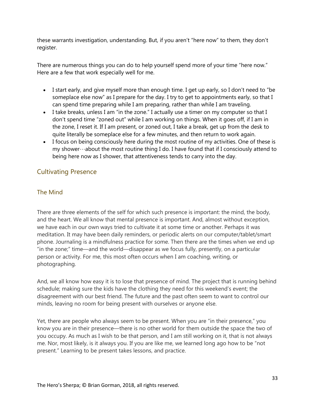these warrants investigation, understanding. But, if you aren't "here now" to them, they don't register.

There are numerous things you can do to help yourself spend more of your time "here now." Here are a few that work especially well for me.

- I start early, and give myself more than enough time. I get up early, so I don't need to "be someplace else now" as I prepare for the day. I try to get to appointments early, so that I can spend time preparing while I am preparing, rather than while I am traveling.
- I take breaks, unless I am "in the zone." I actually use a timer on my computer so that I don't spend time "zoned out" while I am working on things. When it goes off, if I am in the zone, I reset it. If I am present, or zoned out, I take a break, get up from the desk to quite literally be someplace else for a few minutes, and then return to work again.
- I focus on being consciously here during the most routine of my activities. One of these is my shower…about the most routine thing I do. I have found that if I consciously attend to being here now as I shower, that attentiveness tends to carry into the day.

### <span id="page-32-0"></span>Cultivating Presence

### <span id="page-32-1"></span>The Mind

There are three elements of the self for which such presence is important: the mind, the body, and the heart. We all know that mental presence is important. And, almost without exception, we have each in our own ways tried to cultivate it at some time or another. Perhaps it was meditation. It may have been daily reminders, or periodic alerts on our computer/tablet/smart phone. Journaling is a mindfulness practice for some. Then there are the times when we end up "in the zone;" time—and the world—disappear as we focus fully, presently, on a particular person or activity. For me, this most often occurs when I am coaching, writing, or photographing.

And, we all know how easy it is to lose that presence of mind. The project that is running behind schedule; making sure the kids have the clothing they need for this weekend's event; the disagreement with our best friend. The future and the past often seem to want to control our minds, leaving no room for being present with ourselves or anyone else.

Yet, there are people who always seem to be present. When you are "in their presence," you know you are in their presence—there is no other world for them outside the space the two of you occupy. As much as I wish to be that person, and I am still working on it, that is not always me. Nor, most likely, is it always you. If you are like me, we learned long ago how to be "not present." Learning to be present takes lessons, and practice.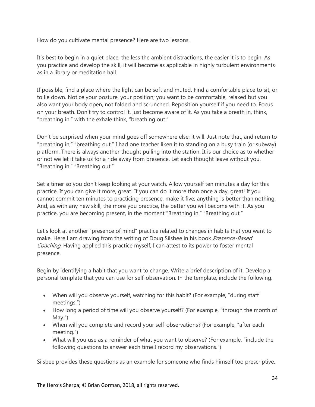How do you cultivate mental presence? Here are two lessons.

It's best to begin in a quiet place, the less the ambient distractions, the easier it is to begin. As you practice and develop the skill, it will become as applicable in highly turbulent environments as in a library or meditation hall.

If possible, find a place where the light can be soft and muted. Find a comfortable place to sit, or to lie down. Notice your posture, your position; you want to be comfortable, relaxed but you also want your body open, not folded and scrunched. Reposition yourself if you need to. Focus on your breath. Don't try to control it, just become aware of it. As you take a breath in, think, "breathing in." with the exhale think, "breathing out."

Don't be surprised when your mind goes off somewhere else; it will. Just note that, and return to "breathing in;" "breathing out." I had one teacher liken it to standing on a busy train (or subway) platform. There is always another thought pulling into the station. It is our choice as to whether or not we let it take us for a ride away from presence. Let each thought leave without you. "Breathing in." "Breathing out."

Set a timer so you don't keep looking at your watch. Allow yourself ten minutes a day for this practice. If you can give it more, great! If you can do it more than once a day, great! If you cannot commit ten minutes to practicing presence, make it five; anything is better than nothing. And, as with any new skill, the more you practice, the better you will become with it. As you practice, you are becoming present, in the moment "Breathing in." "Breathing out."

Let's look at another "presence of mind" practice related to changes in habits that you want to make. Here I am drawing from the writing of Doug Silsbee in his book Presence-Based Coaching. Having applied this practice myself, I can attest to its power to foster mental presence.

Begin by identifying a habit that you want to change. Write a brief description of it. Develop a personal template that you can use for self-observation. In the template, include the following.

- When will you observe yourself, watching for this habit? (For example, "during staff meetings.")
- How long a period of time will you observe yourself? (For example, "through the month of May.")
- When will you complete and record your self-observations? (For example, "after each meeting.")
- What will you use as a reminder of what you want to observe? (For example, "include the following questions to answer each time I record my observations.")

Silsbee provides these questions as an example for someone who finds himself too prescriptive.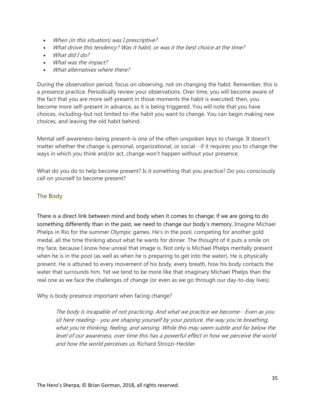- When (in this situation) was I prescriptive?
- What drove this tendency? Was it habit, or was it the best choice at the time?
- What did I do?
- What was the impact?
- What alternatives where there?

During the observation period, focus on observing, not on changing the habit. Remember, this is a presence practice. Periodically review your observations. Over time, you will become aware of the fact that you are more self-present in those moments the habit is executed; then, you become more self-present in advance, as it is being triggered. You will note that you have choices, including–but not limited to–the habit you want to change. You can begin making new choices, and leaving the old habit behind.

Mental self-awareness–being present–is one of the often unspoken keys to change. It doesn't matter whether the change is personal, organizational, or social…if it requires you to change the ways in which you think and/or act, change won't happen without your presence.

What do you do to help become present? Is it something that you practice? Do you consciously call on yourself to become present?

### <span id="page-34-0"></span>The Body

There is a direct link between mind and body when it comes to change; if we are going to do something differently than in the past, we need to change our body's memory. Imagine Michael Phelps in Rio for the summer Olympic games. He's in the pool, competing for another gold medal, all the time thinking about what he wants for dinner. The thought of it puts a smile on my face, because I know how unreal that image is. Not only is Michael Phelps mentally present when he is in the pool (as well as when he is preparing to get into the water). He is physically present. He is attuned to every movement of his body, every breath, how his body contacts the water that surrounds him. Yet we tend to be more like that imaginary Michael Phelps than the real one as we face the challenges of change (or even as we go through our day-to-day lives).

Why is body presence important when facing change?

The body is incapable of not practicing. And what we practice we become $\cdots$ Even as you sit here reading $\cdots$ you are shaping yourself by your posture, the way you're breathing, what you're thinking, feeling, and sensing. While this may seem subtle and far below the level of our awareness, over time this has a powerful effect in how we perceive the world and how the world perceives us. Richard Strozzi-Heckler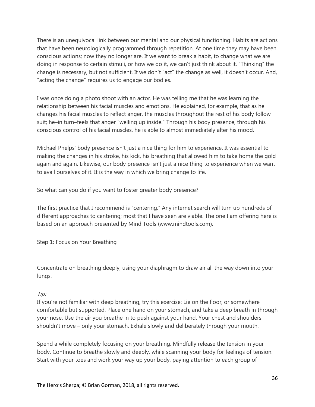There is an unequivocal link between our mental and our physical functioning. Habits are actions that have been neurologically programmed through repetition. At one time they may have been conscious actions; now they no longer are. If we want to break a habit, to change what we are doing in response to certain stimuli, or how we do it, we can't just think about it. "Thinking" the change is necessary, but not sufficient. If we don't "act" the change as well, it doesn't occur. And, "acting the change" requires us to engage our bodies.

I was once doing a photo shoot with an actor. He was telling me that he was learning the relationship between his facial muscles and emotions. He explained, for example, that as he changes his facial muscles to reflect anger, the muscles throughout the rest of his body follow suit; he–in turn–feels that anger "welling up inside." Through his body presence, through his conscious control of his facial muscles, he is able to almost immediately alter his mood.

Michael Phelps' body presence isn't just a nice thing for him to experience. It was essential to making the changes in his stroke, his kick, his breathing that allowed him to take home the gold again and again. Likewise, our body presence isn't just a nice thing to experience when we want to avail ourselves of it. It is the way in which we bring change to life.

So what can you do if you want to foster greater body presence?

The first practice that I recommend is "centering." Any internet search will turn up hundreds of different approaches to centering; most that I have seen are viable. The one I am offering here is based on an approach presented by Mind Tools (www.mindtools.com).

<span id="page-35-0"></span>Step 1: Focus on Your Breathing

Concentrate on breathing deeply, using your diaphragm to draw air all the way down into your lungs.

### Tip:

If you're not familiar with deep breathing, try this exercise: Lie on the floor, or somewhere comfortable but supported. Place one hand on your stomach, and take a deep breath in through your nose. Use the air you breathe in to push against your hand. Your chest and shoulders shouldn't move – only your stomach. Exhale slowly and deliberately through your mouth.

Spend a while completely focusing on your breathing. Mindfully release the tension in your body. Continue to breathe slowly and deeply, while scanning your body for feelings of tension. Start with your toes and work your way up your body, paying attention to each group of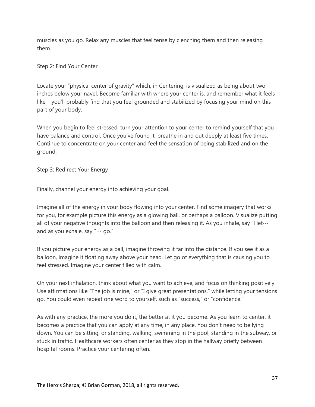muscles as you go. Relax any muscles that feel tense by clenching them and then releasing them.

<span id="page-36-0"></span>Step 2: Find Your Center

Locate your "physical center of gravity" which, in Centering, is visualized as being about two inches below your navel. Become familiar with where your center is, and remember what it feels like – you'll probably find that you feel grounded and stabilized by focusing your mind on this part of your body.

When you begin to feel stressed, turn your attention to your center to remind yourself that you have balance and control. Once you've found it, breathe in and out deeply at least five times. Continue to concentrate on your center and feel the sensation of being stabilized and on the ground.

<span id="page-36-1"></span>Step 3: Redirect Your Energy

Finally, channel your energy into achieving your goal.

Imagine all of the energy in your body flowing into your center. Find some imagery that works for you, for example picture this energy as a glowing ball, or perhaps a balloon. Visualize putting all of your negative thoughts into the balloon and then releasing it. As you inhale, say "I let $\cdots$ " and as you exhale, say "… go."

If you picture your energy as a ball, imagine throwing it far into the distance. If you see it as a balloon, imagine it floating away above your head. Let go of everything that is causing you to feel stressed. Imagine your center filled with calm.

On your next inhalation, think about what you want to achieve, and focus on thinking positively. Use affirmations like "The job is mine," or "I give great presentations," while letting your tensions go. You could even repeat one word to yourself, such as "success," or "confidence."

As with any practice, the more you do it, the better at it you become. As you learn to center, it becomes a practice that you can apply at any time, in any place. You don't need to be lying down. You can be sitting, or standing, walking, swimming in the pool, standing in the subway, or stuck in traffic. Healthcare workers often center as they stop in the hallway briefly between hospital rooms. Practice your centering often.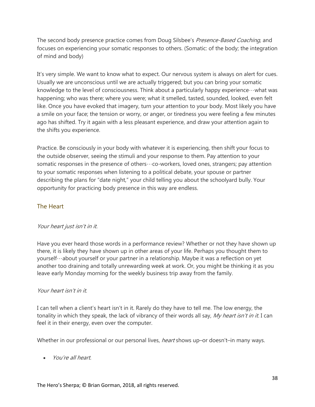The second body presence practice comes from Doug Silsbee's *Presence-Based Coaching*, and focuses on experiencing your somatic responses to others. (Somatic: of the body; the integration of mind and body)

It's very simple. We want to know what to expect. Our nervous system is always on alert for cues. Usually we are unconscious until we are actually triggered; but you can bring your somatic knowledge to the level of consciousness. Think about a particularly happy experience …what was happening; who was there; where you were; what it smelled, tasted, sounded, looked, even felt like. Once you have evoked that imagery, turn your attention to your body. Most likely you have a smile on your face; the tension or worry, or anger, or tiredness you were feeling a few minutes ago has shifted. Try it again with a less pleasant experience, and draw your attention again to the shifts you experience.

Practice. Be consciously in your body with whatever it is experiencing, then shift your focus to the outside observer, seeing the stimuli and your response to them. Pay attention to your somatic responses in the presence of others…co-workers, loved ones, strangers; pay attention to your somatic responses when listening to a political debate, your spouse or partner describing the plans for "date night," your child telling you about the schoolyard bully. Your opportunity for practicing body presence in this way are endless.

### <span id="page-37-0"></span>The Heart

### Your heart just isn't in it.

Have you ever heard those words in a performance review? Whether or not they have shown up there, it is likely they have shown up in other areas of your life. Perhaps you thought them to yourself…about yourself or your partner in a relationship. Maybe it was a reflection on yet another too draining and totally unrewarding week at work. Or, you might be thinking it as you leave early Monday morning for the weekly business trip away from the family.

### Your heart isn't in it.

I can tell when a client's heart isn't in it. Rarely do they have to tell me. The low energy, the tonality in which they speak, the lack of vibrancy of their words all say, My heart isn't in it. I can feel it in their energy, even over the computer.

Whether in our professional or our personal lives, *heart* shows up–or doesn't–in many ways.

• You're all heart.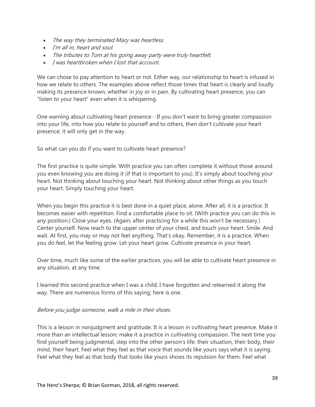- The way they terminated Mary was heartless.
- I'm all in, heart and soul.
- The tributes to Tom at his going away party were truly heartfelt.
- I was heartbroken when I lost that account.

We can chose to pay attention to heart or not. Either way, our relationship to heart is infused in how we relate to others. The examples above reflect those times that heart is clearly and loudly making its presence known, whether in joy or in pain. By cultivating heart presence, you can "listen to your heart" even when it is whispering.

One warning about cultivating heart presence…If you don't want to bring greater compassion into your life, into how you relate to yourself and to others, then don't cultivate your heart presence; it will only get in the way.

So what can you do if you want to cultivate heart presence?

The first practice is quite simple. With practice you can often complete it without those around you even knowing you are doing it (if that is important to you). It's simply about touching your heart. Not thinking about touching your heart. Not thinking about other things as you touch your heart. Simply touching your heart.

When you begin this practice it is best done in a quiet place, alone. After all, it is a practice. It becomes easier with repetition. Find a comfortable place to sit. (With practice you can do this in any position.) Close your eyes. (Again, after practicing for a while this won't be necessary.) Center yourself. Now reach to the upper center of your chest, and touch your heart. Smile. And wait. At first, you may or may not feel anything. That's okay. Remember, it is a practice. When you do feel, let the feeling grow. Let your heart grow. Cultivate presence in your heart.

Over time, much like some of the earlier practices, you will be able to cultivate heart presence in any situation, at any time.

I learned this second practice when I was a child; I have forgotten and relearned it along the way. There are numerous forms of this saying; here is one.

#### Before you judge someone, walk a mile in their shoes.

This is a lesson in nonjudgment and gratitude. It is a lesson in cultivating heart presence. Make it more than an intellectual lesson; make it a practice in cultivating compassion. The next time you find yourself being judgmental, step into the other person's life: their situation, their body, their mind, their heart. Feel what they feel as that voice that sounds like yours says what it is saying. Feel what they feel as that body that looks like yours shows its repulsion for them. Feel what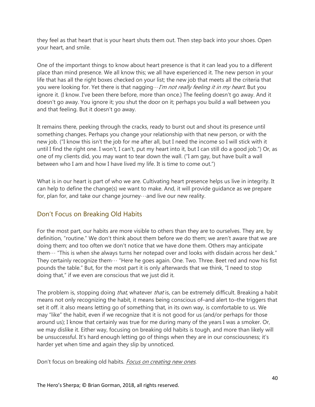they feel as that heart that is your heart shuts them out. Then step back into your shoes. Open your heart, and smile.

One of the important things to know about heart presence is that it can lead you to a different place than mind presence. We all know this; we all have experienced it. The new person in your life that has all the right boxes checked on your list; the new job that meets all the criteria that you were looking for. Yet there is that nagging $\cdots$ I'm not really feeling it in my heart. But you ignore it. (I know. I've been there before, more than once.) The feeling doesn't go away. And it doesn't go away. You ignore it; you shut the door on it; perhaps you build a wall between you and that feeling. But it doesn't go away.

It remains there, peeking through the cracks, ready to burst out and shout its presence until something changes. Perhaps you change your relationship with that new person, or with the new job. ("I know this isn't the job for me after all, but I need the income so I will stick with it until I find the right one. I won't, I can't, put my heart into it, but I can still do a good job.") Or, as one of my clients did, you may want to tear down the wall. ("I am gay, but have built a wall between who I am and how I have lived my life. It is time to come out.")

What is in our heart is part of who we are. Cultivating heart presence helps us live in integrity. It can help to define the change(s) we want to make. And, it will provide guidance as we prepare for, plan for, and take our change journey…and live our new reality.

### <span id="page-39-0"></span>Don't Focus on Breaking Old Habits

For the most part, our habits are more visible to others than they are to ourselves. They are, by definition, "routine." We don't think about them before we do them; we aren't aware that we are doing them; and too often we don't notice that we have done them. Others may anticipate them… "This is when she always turns her notepad over and looks with disdain across her desk." They certainly recognize them… "Here he goes again. One. Two. Three. Beet red and now his fist pounds the table." But, for the most part it is only afterwards that we think, "I need to stop doing that," if we even are conscious that we just did it.

The problem is, stopping doing *that*, whatever *that* is, can be extremely difficult. Breaking a habit means not only recognizing the habit, it means being conscious of–and alert to–the triggers that set it off. it also means letting go of something that, in its own way, is comfortable to us. We may "like" the habit, even if we recognize that it is not good for us (and/or perhaps for those around us); I know that certainly was true for me during many of the years I was a smoker. Or, we may dislike it. Either way, focusing on breaking old habits is tough, and more than likely will be unsuccessful. It's hard enough letting go of things when they are in our consciousness; it's harder yet when time and again they slip by unnoticed.

Don't focus on breaking old habits. Focus on creating new ones.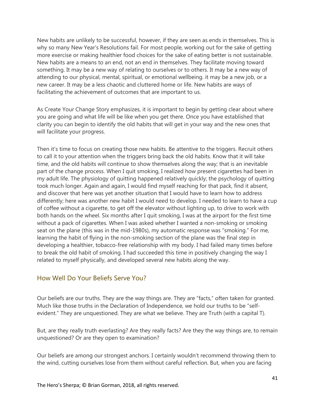New habits are unlikely to be successful, however, if they are seen as ends in themselves. This is why so many New Year's Resolutions fail. For most people, working out for the sake of getting more exercise or making healthier food choices for the sake of eating better is not sustainable. New habits are a means to an end, not an end in themselves. They facilitate moving toward something. It may be a new way of relating to ourselves or to others. It may be a new way of attending to our physical, mental, spiritual, or emotional wellbeing. it may be a new job, or a new career. It may be a less chaotic and cluttered home or life. New habits are ways of facilitating the achievement of outcomes that are important to us.

As Create Your Change Story emphasizes, it is important to begin by getting clear about where you are going and what life will be like when you get there. Once you have established that clarity you can begin to identify the old habits that will get in your way and the new ones that will facilitate your progress.

Then it's time to focus on creating those new habits. Be attentive to the triggers. Recruit others to call it to your attention when the triggers bring back the old habits. Know that it will take time, and the old habits will continue to show themselves along the way; that is an inevitable part of the change process. When I quit smoking, I realized how present cigarettes had been in my adult life. The physiology of quitting happened relatively quickly; the psychology of quitting took much longer. Again and again, I would find myself reaching for that pack, find it absent, and discover that here was yet another situation that I would have to learn how to address differently; here was another new habit I would need to develop. I needed to learn to have a cup of coffee without a cigarette, to get off the elevator without lighting up, to drive to work with both hands on the wheel. Six months after I quit smoking, I was at the airport for the first time without a pack of cigarettes. When I was asked whether I wanted a non-smoking or smoking seat on the plane (this was in the mid-1980s), my automatic response was "smoking." For me, learning the habit of flying in the non-smoking section of the plane was the final step in developing a healthier, tobacco-free relationship with my body. I had failed many times before to break the old habit of smoking. I had succeeded this time in positively changing the way I related to myself physically, and developed several new habits along the way.

### <span id="page-40-0"></span>How Well Do Your Beliefs Serve You?

Our beliefs are our truths. They are the way things are. They are "facts," often taken for granted. Much like those truths in the Declaration of Independence, we hold our truths to be "selfevident." They are unquestioned. They are what we believe. They are Truth (with a capital T).

But, are they really truth everlasting? Are they really facts? Are they the way things are, to remain unquestioned? Or are they open to examination?

Our beliefs are among our strongest anchors. I certainly wouldn't recommend throwing them to the wind, cutting ourselves lose from them without careful reflection. But, when you are facing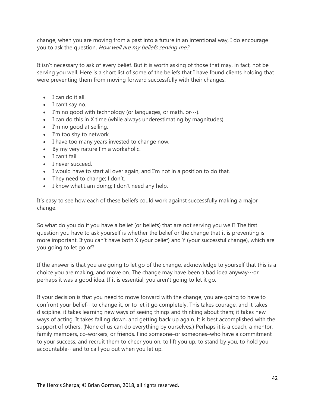change, when you are moving from a past into a future in an intentional way, I do encourage you to ask the question, How well are my beliefs serving me?

It isn't necessary to ask of every belief. But it is worth asking of those that may, in fact, not be serving you well. Here is a short list of some of the beliefs that I have found clients holding that were preventing them from moving forward successfully with their changes.

- I can do it all.
- I can't say no.
- I'm no good with technology (or languages, or math, or $\cdots$ ).
- I can do this in X time (while always underestimating by magnitudes).
- I'm no good at selling.
- I'm too shy to network.
- I have too many years invested to change now.
- By my very nature I'm a workaholic.
- I can't fail.
- I never succeed.
- I would have to start all over again, and I'm not in a position to do that.
- They need to change; I don't.
- I know what I am doing; I don't need any help.

It's easy to see how each of these beliefs could work against successfully making a major change.

So what do you do if you have a belief (or beliefs) that are not serving you well? The first question you have to ask yourself is whether the belief or the change that it is preventing is more important. If you can't have both X (your belief) and Y (your successful change), which are you going to let go of?

If the answer is that you are going to let go of the change, acknowledge to yourself that this is a choice you are making, and move on. The change may have been a bad idea anyway  $\cdots$  or perhaps it was a good idea. If it is essential, you aren't going to let it go.

If your decision is that you need to move forward with the change, you are going to have to confront your belief…to change it, or to let it go completely. This takes courage, and it takes discipline. it takes learning new ways of seeing things and thinking about them; it takes new ways of acting. It takes falling down, and getting back up again. It is best accomplished with the support of others. (None of us can do everything by ourselves.) Perhaps it is a coach, a mentor, family members, co-workers, or friends. Find someone–or someones–who have a commitment to your success, and recruit them to cheer you on, to lift you up, to stand by you, to hold you accountable…and to call you out when you let up.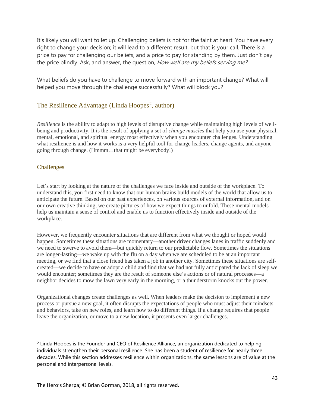It's likely you will want to let up. Challenging beliefs is not for the faint at heart. You have every right to change your decision; it will lead to a different result, but that is your call. There is a price to pay for challenging our beliefs, and a price to pay for standing by them. Just don't pay the price blindly. Ask, and answer, the question, *How well are my beliefs serving me?* 

What beliefs do you have to challenge to move forward with an important change? What will helped you move through the challenge successfully? What will block you?

### <span id="page-42-0"></span>The Resilience Advantage (Linda Hoopes<sup>[2](#page-42-2)</sup>, author)

*Resilience* is the ability to adapt to high levels of disruptive change while maintaining high levels of wellbeing and productivity. It is the result of applying a set of *change muscles* that help you use your physical, mental, emotional, and spiritual energy most effectively when you encounter challenges. Understanding what resilience is and how it works is a very helpful tool for change leaders, change agents, and anyone going through change. (Hmmm…that might be everybody!)

### <span id="page-42-1"></span>Challenges

Let's start by looking at the nature of the challenges we face inside and outside of the workplace. To understand this, you first need to know that our human brains build models of the world that allow us to anticipate the future. Based on our past experiences, on various sources of external information, and on our own creative thinking, we create pictures of how we expect things to unfold. These mental models help us maintain a sense of control and enable us to function effectively inside and outside of the workplace.

However, we frequently encounter situations that are different from what we thought or hoped would happen. Sometimes these situations are momentary—another driver changes lanes in traffic suddenly and we need to swerve to avoid them—but quickly return to our predictable flow. Sometimes the situations are longer-lasting—we wake up with the flu on a day when we are scheduled to be at an important meeting, or we find that a close friend has taken a job in another city. Sometimes these situations are selfcreated—we decide to have or adopt a child and find that we had not fully anticipated the lack of sleep we would encounter; sometimes they are the result of someone else's actions or of natural processes—a neighbor decides to mow the lawn very early in the morning, or a thunderstorm knocks out the power.

Organizational changes create challenges as well. When leaders make the decision to implement a new process or pursue a new goal, it often disrupts the expectations of people who must adjust their mindsets and behaviors, take on new roles, and learn how to do different things. If a change requires that people leave the organization, or move to a new location, it presents even larger challenges.

<span id="page-42-2"></span> $\overline{a}$ <sup>2</sup> Linda Hoopes is the Founder and CEO of Resilience Alliance, an organization dedicated to helping individuals strengthen their personal resilience. She has been a student of resilience for nearly three decades. While this section addresses resilience within organizations, the same lessons are of value at the personal and interpersonal levels.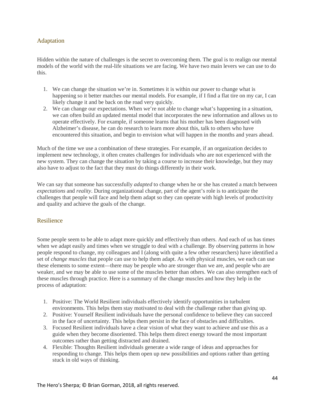#### <span id="page-43-0"></span>Adaptation

Hidden within the nature of challenges is the secret to overcoming them. The goal is to realign our mental models of the world with the real-life situations we are facing. We have two main levers we can use to do this.

- 1. We can change the situation we're in. Sometimes it is within our power to change what is happening so it better matches our mental models. For example, if I find a flat tire on my car, I can likely change it and be back on the road very quickly.
- 2. We can change our expectations. When we're not able to change what's happening in a situation, we can often build an updated mental model that incorporates the new information and allows us to operate effectively. For example, if someone learns that his mother has been diagnosed with Alzheimer's disease, he can do research to learn more about this, talk to others who have encountered this situation, and begin to envision what will happen in the months and years ahead.

Much of the time we use a combination of these strategies. For example, if an organization decides to implement new technology, it often creates challenges for individuals who are not experienced with the new system. They can change the situation by taking a course to increase their knowledge, but they may also have to adjust to the fact that they must do things differently in their work.

We can say that someone has successfully *adapted* to change when he or she has created a match between *expectations* and *reality*. During organizational change, part of the agent's role is to anticipate the challenges that people will face and help them adapt so they can operate with high levels of productivity and quality and achieve the goals of the change.

#### <span id="page-43-1"></span>Resilience

Some people seem to be able to adapt more quickly and effectively than others. And each of us has times when we adapt easily and times when we struggle to deal with a challenge. By observing patterns in how people respond to change, my colleagues and I (along with quite a few other researchers) have identified a set of *change muscles* that people can use to help them adapt. As with physical muscles, we each can use these elements to some extent—there may be people who are stronger than we are, and people who are weaker, and we may be able to use some of the muscles better than others. We can also strengthen each of these muscles through practice. Here is a summary of the change muscles and how they help in the process of adaptation:

- 1. Positive: The World Resilient individuals effectively identify opportunities in turbulent environments. This helps them stay motivated to deal with the challenge rather than giving up.
- 2. Positive: Yourself Resilient individuals have the personal confidence to believe they can succeed in the face of uncertainty. This helps them persist in the face of obstacles and difficulties.
- 3. Focused Resilient individuals have a clear vision of what they want to achieve and use this as a guide when they become disoriented. This helps them direct energy toward the most important outcomes rather than getting distracted and drained.
- 4. Flexible: Thoughts Resilient individuals generate a wide range of ideas and approaches for responding to change. This helps them open up new possibilities and options rather than getting stuck in old ways of thinking.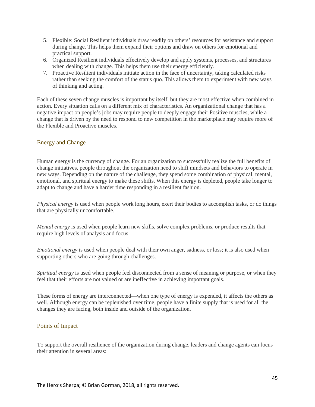- 5. Flexible: Social Resilient individuals draw readily on others' resources for assistance and support during change. This helps them expand their options and draw on others for emotional and practical support.
- 6. Organized Resilient individuals effectively develop and apply systems, processes, and structures when dealing with change. This helps them use their energy efficiently.
- 7. Proactive Resilient individuals initiate action in the face of uncertainty, taking calculated risks rather than seeking the comfort of the status quo. This allows them to experiment with new ways of thinking and acting.

Each of these seven change muscles is important by itself, but they are most effective when combined in action. Every situation calls on a different mix of characteristics. An organizational change that has a negative impact on people's jobs may require people to deeply engage their Positive muscles, while a change that is driven by the need to respond to new competition in the marketplace may require more of the Flexible and Proactive muscles.

#### <span id="page-44-0"></span>Energy and Change

Human energy is the currency of change. For an organization to successfully realize the full benefits of change initiatives, people throughout the organization need to shift mindsets and behaviors to operate in new ways. Depending on the nature of the challenge, they spend some combination of physical, mental, emotional, and spiritual energy to make these shifts. When this energy is depleted, people take longer to adapt to change and have a harder time responding in a resilient fashion.

*Physical energy* is used when people work long hours, exert their bodies to accomplish tasks, or do things that are physically uncomfortable.

*Mental energy* is used when people learn new skills, solve complex problems, or produce results that require high levels of analysis and focus.

*Emotional energy* is used when people deal with their own anger, sadness, or loss; it is also used when supporting others who are going through challenges.

*Spiritual energy* is used when people feel disconnected from a sense of meaning or purpose, or when they feel that their efforts are not valued or are ineffective in achieving important goals.

These forms of energy are interconnected—when one type of energy is expended, it affects the others as well. Although energy can be replenished over time, people have a finite supply that is used for all the changes they are facing, both inside and outside of the organization.

#### <span id="page-44-1"></span>Points of Impact

To support the overall resilience of the organization during change, leaders and change agents can focus their attention in several areas: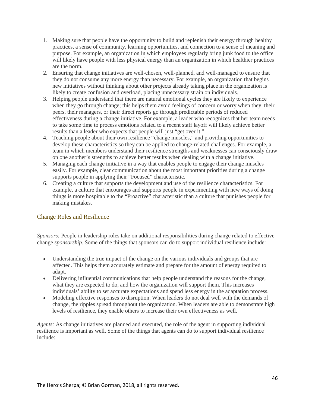- 1. Making sure that people have the opportunity to build and replenish their energy through healthy practices, a sense of community, learning opportunities, and connection to a sense of meaning and purpose. For example, an organization in which employees regularly bring junk food to the office will likely have people with less physical energy than an organization in which healthier practices are the norm.
- 2. Ensuring that change initiatives are well-chosen, well-planned, and well-managed to ensure that they do not consume any more energy than necessary. For example, an organization that begins new initiatives without thinking about other projects already taking place in the organization is likely to create confusion and overload, placing unnecessary strain on individuals.
- 3. Helping people understand that there are natural emotional cycles they are likely to experience when they go through change; this helps them avoid feelings of concern or worry when they, their peers, their managers, or their direct reports go through predictable periods of reduced effectiveness during a change initiative. For example, a leader who recognizes that her team needs to take some time to process emotions related to a recent staff layoff will likely achieve better results than a leader who expects that people will just "get over it."
- 4. Teaching people about their own resilience "change muscles," and providing opportunities to develop these characteristics so they can be applied to change-related challenges. For example, a team in which members understand their resilience strengths and weaknesses can consciously draw on one another's strengths to achieve better results when dealing with a change initiative.
- 5. Managing each change initiative in a way that enables people to engage their change muscles easily. For example, clear communication about the most important priorities during a change supports people in applying their "Focused" characteristic.
- 6. Creating a culture that supports the development and use of the resilience characteristics. For example, a culture that encourages and supports people in experimenting with new ways of doing things is more hospitable to the "Proactive" characteristic than a culture that punishes people for making mistakes.

#### <span id="page-45-0"></span>Change Roles and Resilience

*Sponsors:* People in leadership roles take on additional responsibilities during change related to effective change *sponsorship*. Some of the things that sponsors can do to support individual resilience include:

- Understanding the true impact of the change on the various individuals and groups that are affected. This helps them accurately estimate and prepare for the amount of energy required to adapt.
- Delivering influential communications that help people understand the reasons for the change, what they are expected to do, and how the organization will support them. This increases individuals' ability to set accurate expectations and spend less energy in the adaptation process.
- Modeling effective responses to disruption. When leaders do not deal well with the demands of change, the ripples spread throughout the organization. When leaders are able to demonstrate high levels of resilience, they enable others to increase their own effectiveness as well.

*Agents:* As change initiatives are planned and executed, the role of the agent in supporting individual resilience is important as well. Some of the things that agents can do to support individual resilience include: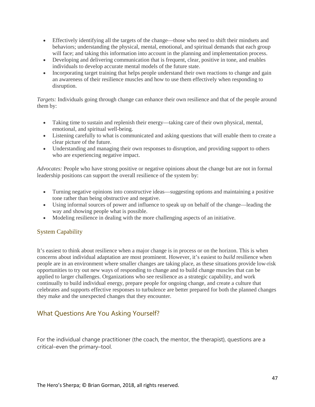- Effectively identifying all the targets of the change—those who need to shift their mindsets and behaviors; understanding the physical, mental, emotional, and spiritual demands that each group will face; and taking this information into account in the planning and implementation process.
- Developing and delivering communication that is frequent, clear, positive in tone, and enables individuals to develop accurate mental models of the future state.
- Incorporating target training that helps people understand their own reactions to change and gain an awareness of their resilience muscles and how to use them effectively when responding to disruption.

*Targets:* Individuals going through change can enhance their own resilience and that of the people around them by:

- Taking time to sustain and replenish their energy—taking care of their own physical, mental, emotional, and spiritual well-being.
- Listening carefully to what is communicated and asking questions that will enable them to create a clear picture of the future.
- Understanding and managing their own responses to disruption, and providing support to others who are experiencing negative impact.

*Advocates:* People who have strong positive or negative opinions about the change but are not in formal leadership positions can support the overall resilience of the system by:

- Turning negative opinions into constructive ideas—suggesting options and maintaining a positive tone rather than being obstructive and negative.
- Using informal sources of power and influence to speak up on behalf of the change—leading the way and showing people what is possible.
- Modeling resilience in dealing with the more challenging aspects of an initiative.

### <span id="page-46-0"></span>System Capability

It's easiest to think about resilience when a major change is in process or on the horizon. This is when concerns about individual adaptation are most prominent. However, it's easiest to *build* resilience when people are in an environment where smaller changes are taking place, as these situations provide low-risk opportunities to try out new ways of responding to change and to build change muscles that can be applied to larger challenges. Organizations who see resilience as a strategic capability, and work continually to build individual energy, prepare people for ongoing change, and create a culture that celebrates and supports effective responses to turbulence are better prepared for both the planned changes they make and the unexpected changes that they encounter.

### <span id="page-46-1"></span>What Questions Are You Asking Yourself?

For the individual change practitioner (the coach, the mentor, the therapist), questions are a critical–even the primary–tool.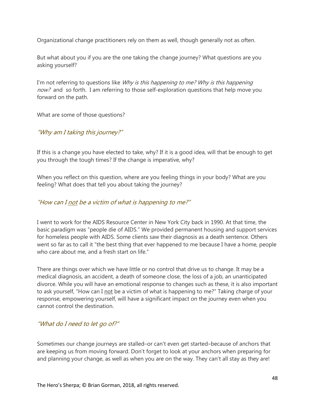Organizational change practitioners rely on them as well, though generally not as often.

But what about you if you are the one taking the change journey? What questions are you asking yourself?

I'm not referring to questions like  $W h y$  is this happening to me? Why is this happening now? and so forth. I am referring to those self-exploration questions that help move you forward on the path.

What are some of those questions?

### <span id="page-47-0"></span>"Why am I taking this journey?"

If this is a change you have elected to take, why? If it is a good idea, will that be enough to get you through the tough times? If the change is imperative, why?

When you reflect on this question, where are you feeling things in your body? What are you feeling? What does that tell you about taking the journey?

### <span id="page-47-1"></span>"How can I not be a victim of what is happening to me?"

I went to work for the AIDS Resource Center in New York City back in 1990. At that time, the basic paradigm was "people die of AIDS." We provided permanent housing and support services for homeless people with AIDS. Some clients saw their diagnosis as a death sentence. Others went so far as to call it "the best thing that ever happened to me because I have a home, people who care about me, and a fresh start on life."

There are things over which we have little or no control that drive us to change. It may be a medical diagnosis, an accident, a death of someone close, the loss of a job, an unanticipated divorce. While you will have an emotional response to changes such as these, it is also important to ask yourself, "How can I not be a victim of what is happening to me?" Taking charge of your response, empowering yourself, will have a significant impact on the journey even when you cannot control the destination.

### <span id="page-47-2"></span>"What do I need to let go of?"

Sometimes our change journeys are stalled–or can't even get started–because of anchors that are keeping us from moving forward. Don't forget to look at your anchors when preparing for and planning your change, as well as when you are on the way. They can't all stay as they are!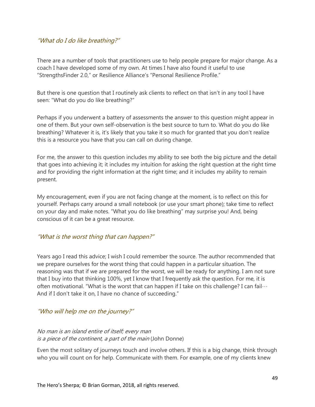### <span id="page-48-0"></span>"What do I do like breathing?"

There are a number of tools that practitioners use to help people prepare for major change. As a coach I have developed some of my own. At times I have also found it useful to use "StrengthsFinder 2.0," or Resilience Alliance's "Personal Resilience Profile."

But there is one question that I routinely ask clients to reflect on that isn't in any tool I have seen: "What do you do like breathing?"

Perhaps if you underwent a battery of assessments the answer to this question might appear in one of them. But your own self-observation is the best source to turn to. What do you do like breathing? Whatever it is, it's likely that you take it so much for granted that you don't realize this is a resource you have that you can call on during change.

For me, the answer to this question includes my ability to see both the big picture and the detail that goes into achieving it; it includes my intuition for asking the right question at the right time and for providing the right information at the right time; and it includes my ability to remain present.

My encouragement, even if you are not facing change at the moment, is to reflect on this for yourself. Perhaps carry around a small notebook (or use your smart phone); take time to reflect on your day and make notes. "What you do like breathing" may surprise you! And, being conscious of it can be a great resource.

### <span id="page-48-1"></span>"What is the worst thing that can happen?"

Years ago I read this advice; I wish I could remember the source. The author recommended that we prepare ourselves for the worst thing that could happen in a particular situation. The reasoning was that if we are prepared for the worst, we will be ready for anything. I am not sure that I buy into that thinking 100%, yet I know that I frequently ask the question. For me, it is often motivational. "What is the worst that can happen if I take on this challenge? I can fail… And if I don't take it on, I have no chance of succeeding."

### <span id="page-48-2"></span>"Who will help me on the journey?"

### No man is an island entire of itself; every man is a piece of the continent, a part of the main (John Donne)

Even the most solitary of journeys touch and involve others. If this is a big change, think through who you will count on for help. Communicate with them. For example, one of my clients knew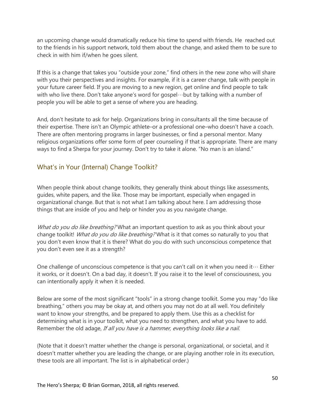an upcoming change would dramatically reduce his time to spend with friends. He reached out to the friends in his support network, told them about the change, and asked them to be sure to check in with him if/when he goes silent.

If this is a change that takes you "outside your zone," find others in the new zone who will share with you their perspectives and insights. For example, if it is a career change, talk with people in your future career field. If you are moving to a new region, get online and find people to talk with who live there. Don't take anyone's word for gospel…but by talking with a number of people you will be able to get a sense of where you are heading.

And, don't hesitate to ask for help. Organizations bring in consultants all the time because of their expertise. There isn't an Olympic athlete–or a professional one–who doesn't have a coach. There are often mentoring programs in larger businesses, or find a personal mentor. Many religious organizations offer some form of peer counseling if that is appropriate. There are many ways to find a Sherpa for your journey. Don't try to take it alone. "No man is an island."

### <span id="page-49-0"></span>What's in Your (Internal) Change Toolkit?

When people think about change toolkits, they generally think about things like assessments, guides, white papers, and the like. Those may be important, especially when engaged in organizational change. But that is not what I am talking about here. I am addressing those things that are inside of you and help or hinder you as you navigate change.

What do you do like breathing? What an important question to ask as you think about your change toolkit! What do you do like breathing? What is it that comes so naturally to you that you don't even know that it is there? What do you do with such unconscious competence that you don't even see it as a strength?

One challenge of unconscious competence is that you can't call on it when you need it… Either it works, or it doesn't. On a bad day, it doesn't. If you raise it to the level of consciousness, you can intentionally apply it when it is needed.

Below are some of the most significant "tools" in a strong change toolkit. Some you may "do like breathing," others you may be okay at, and others you may not do at all well. You definitely want to know your strengths, and be prepared to apply them. Use this as a checklist for determining what is in your toolkit, what you need to strengthen, and what you have to add. Remember the old adage, If all you have is a hammer, everything looks like a nail.

(Note that it doesn't matter whether the change is personal, organizational, or societal, and it doesn't matter whether you are leading the change, or are playing another role in its execution, these tools are all important. The list is in alphabetical order.)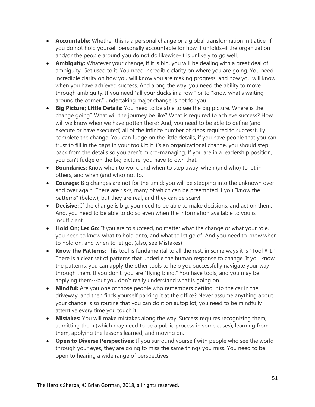- **Accountable:** Whether this is a personal change or a global transformation initiative, if you do not hold yourself personally accountable for how it unfolds–if the organization and/or the people around you do not do likewise–it is unlikely to go well.
- **Ambiguity:** Whatever your change, if it is big, you will be dealing with a great deal of ambiguity. Get used to it. You need incredible clarity on where you are going. You need incredible clarity on how you will know you are making progress, and how you will know when you have achieved success. And along the way, you need the ability to move through ambiguity. If you need "all your ducks in a row," or to "know what's waiting around the corner," undertaking major change is not for you.
- **Big Picture; Little Details:** You need to be able to see the big picture. Where is the change going? What will the journey be like? What is required to achieve success? How will we know when we have gotten there? And, you need to be able to define (and execute or have executed) all of the infinite number of steps required to successfully complete the change. You can fudge on the little details, if you have people that you can trust to fill in the gaps in your toolkit; if it's an organizational change, you should step back from the details so you aren't micro-managing. If you are in a leadership position, you can't fudge on the big picture; you have to own that.
- **Boundaries:** Know when to work, and when to step away, when (and who) to let in others, and when (and who) not to.
- **Courage:** Big changes are not for the timid; you will be stepping into the unknown over and over again. There are risks, many of which can be preempted if you "know the patterns" (below); but they are real, and they can be scary!
- **Decisive:** If the change is big, you need to be able to make decisions, and act on them. And, you need to be able to do so even when the information available to you is insufficient.
- **Hold On; Let Go:** If you are to succeed, no matter what the change or what your role, you need to know what to hold onto, and what to let go of. And you need to know when to hold on, and when to let go. (also, see Mistakes)
- Know the Patterns: This tool is fundamental to all the rest; in some ways it is "Tool #1." There is a clear set of patterns that underlie the human response to change. If you know the patterns, you can apply the other tools to help you successfully navigate your way through them. If you don't, you are "flying blind." You have tools, and you may be applying them $\cdots$ but you don't really understand what is going on.
- **Mindful:** Are you one of those people who remembers getting into the car in the driveway, and then finds yourself parking it at the office? Never assume anything about your change is so routine that you can do it on autopilot; you need to be mindfully attentive every time you touch it.
- **Mistakes:** You will make mistakes along the way. Success requires recognizing them, admitting them (which may need to be a public process in some cases), learning from them, applying the lessons learned, and moving on.
- **Open to Diverse Perspectives:** If you surround yourself with people who see the world through your eyes, they are going to miss the same things you miss. You need to be open to hearing a wide range of perspectives.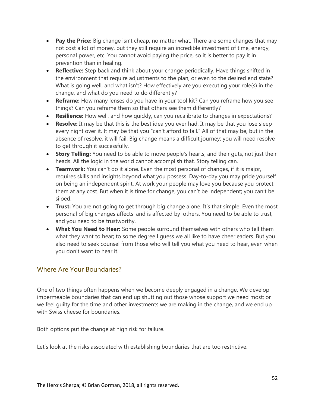- **Pay the Price:** Big change isn't cheap, no matter what. There are some changes that may not cost a lot of money, but they still require an incredible investment of time, energy, personal power, etc. You cannot avoid paying the price, so it is better to pay it in prevention than in healing.
- **Reflective:** Step back and think about your change periodically. Have things shifted in the environment that require adjustments to the plan, or even to the desired end state? What is going well, and what isn't? How effectively are you executing your role(s) in the change, and what do you need to do differently?
- **Reframe:** How many lenses do you have in your tool kit? Can you reframe how you see things? Can you reframe them so that others see them differently?
- **Resilience:** How well, and how quickly, can you recalibrate to changes in expectations?
- **Resolve:** It may be that this is the best idea you ever had. It may be that you lose sleep every night over it. It may be that you "can't afford to fail." All of that may be, but in the absence of resolve, it will fail. Big change means a difficult journey; you will need resolve to get through it successfully.
- **Story Telling:** You need to be able to move people's hearts, and their guts, not just their heads. All the logic in the world cannot accomplish that. Story telling can.
- **Teamwork:** You can't do it alone. Even the most personal of changes, if it is major, requires skills and insights beyond what you possess. Day-to-day you may pride yourself on being an independent spirit. At work your people may love you because you protect them at any cost. But when it is time for change, you can't be independent; you can't be siloed.
- **Trust:** You are not going to get through big change alone. It's that simple. Even the most personal of big changes affects–and is affected by–others. You need to be able to trust, and you need to be trustworthy.
- **What You Need to Hear:** Some people surround themselves with others who tell them what they want to hear; to some degree I guess we all like to have cheerleaders. But you also need to seek counsel from those who will tell you what you need to hear, even when you don't want to hear it.

### <span id="page-51-0"></span>Where Are Your Boundaries?

One of two things often happens when we become deeply engaged in a change. We develop impermeable boundaries that can end up shutting out those whose support we need most; or we feel guilty for the time and other investments we are making in the change, and we end up with Swiss cheese for boundaries.

Both options put the change at high risk for failure.

Let's look at the risks associated with establishing boundaries that are too restrictive.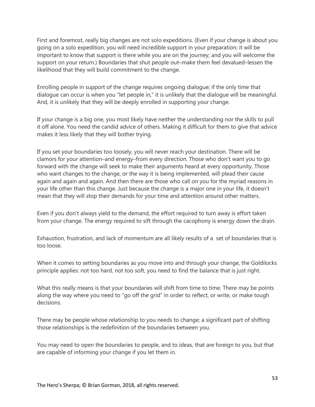First and foremost, really big changes are not solo expeditions. (Even if your change is about you going on a solo expedition, you will need incredible support in your preparation; it will be important to know that support is there while you are on the journey; and you will welcome the support on your return.) Boundaries that shut people out–make them feel devalued–lessen the likelihood that they will build commitment to the change.

Enrolling people in support of the change requires ongoing dialogue; if the only time that dialogue can occur is when you "let people in," it is unlikely that the dialogue will be meaningful. And, it is unlikely that they will be deeply enrolled in supporting your change.

If your change is a big one, you most likely have neither the understanding nor the skills to pull it off alone. You need the candid advice of others. Making it difficult for them to give that advice makes it less likely that they will bother trying.

If you set your boundaries too loosely, you will never reach your destination. There will be clamors for your attention–and energy–from every direction. Those who don't want you to go forward with the change will seek to make their arguments heard at every opportunity. Those who want changes to the change, or the way it is being implemented, will plead their cause again and again and again. And then there are those who call on you for the myriad reasons in your life other than this change. Just because the change is a major one in your life, it doesn't mean that they will stop their demands for your time and attention around other matters.

Even if you don't always yield to the demand, the effort required to turn away is effort taken from your change. The energy required to sift through the cacophony is energy down the drain.

Exhaustion, frustration, and lack of momentum are all likely results of a set of boundaries that is too loose.

When it comes to setting boundaries as you move into and through your change, the Goldilocks principle applies: not too hard, not too soft, you need to find the balance that is just right.

What this really means is that your boundaries will shift from time to time. There may be points along the way where you need to "go off the grid" in order to reflect, or write, or make tough decisions.

There may be people whose relationship to you needs to change; a significant part of shifting those relationships is the redefinition of the boundaries between you.

You may need to open the boundaries to people, and to ideas, that are foreign to you, but that are capable of informing your change if you let them in.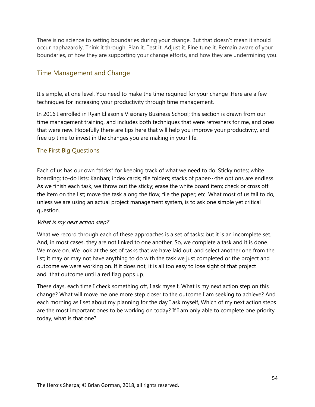There is no science to setting boundaries during your change. But that doesn't mean it should occur haphazardly. Think it through. Plan it. Test it. Adjust it. Fine tune it. Remain aware of your boundaries, of how they are supporting your change efforts, and how they are undermining you.

### <span id="page-53-0"></span>Time Management and Change

It's simple, at one level. You need to make the time required for your change .Here are a few techniques for increasing your productivity through time management.

In 2016 I enrolled in Ryan Eliason's [Visionary Business School;](http://visionarybusinessschool.com/) this section is drawn from our time management training, and includes both techniques that were refreshers for me, and ones that were new. Hopefully there are tips here that will help you improve your productivity, and free up time to invest in the changes you are making in your life.

### <span id="page-53-1"></span>The First Big Questions

Each of us has our own "tricks" for keeping track of what we need to do. Sticky notes; white boarding; to-do lists; Kanban; index cards; file folders; stacks of paper…the options are endless. As we finish each task, we throw out the sticky; erase the white board item; check or cross off the item on the list; move the task along the flow; file the paper; etc. What most of us fail to do, unless we are using an actual project management system, is to ask one simple yet critical question.

### What is my next action step?

What we record through each of these approaches is a set of tasks; but it is an incomplete set. And, in most cases, they are not linked to one another. So, we complete a task and it is done. We move on. We look at the set of tasks that we have laid out, and select another one from the list; it may or may not have anything to do with the task we just completed or the project and outcome we were working on. If it does not, it is all too easy to lose sight of that project and that outcome until a red flag pops up.

These days, each time I check something off, I ask myself, What is my next action step on this change? What will move me one more step closer to the outcome I am seeking to achieve? And each morning as I set about my planning for the day I ask myself, Which of my next action steps are the most important ones to be working on today? If I am only able to complete one priority today, what is that one?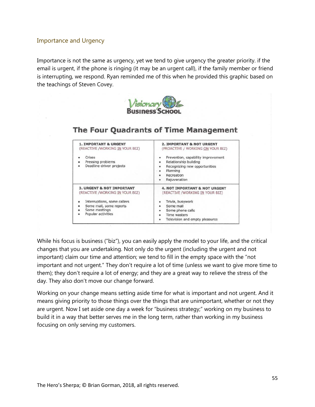#### <span id="page-54-0"></span>Importance and Urgency

Importance is not the same as urgency, yet we tend to give urgency the greater priority. if the email is urgent, if the phone is ringing (it may be an urgent call), if the family member or friend is interrupting, we respond. Ryan reminded me of this when he provided this graphic based on the teachings of Steven Covey.



### The Four Quadrants of Time Management

| <b>1. IMPORTANT &amp; URGENT</b><br>(REACTIVE / WORKING IN YOUR BIZ)<br>Crises<br>Pressing problems<br>۰<br>Deadline-driven projects<br>۰ | <b>2. IMPORTANT &amp; NOT URGENT</b><br>(PROACTIVE / WORKING ON YOUR BIZ)<br>Prevention, capability improvement<br>Relationship building<br>Recognizing new opportunities<br>Planning<br>۰<br>Recreation<br>Rejuvenation<br>۰ |
|-------------------------------------------------------------------------------------------------------------------------------------------|-------------------------------------------------------------------------------------------------------------------------------------------------------------------------------------------------------------------------------|
| <b>3. URGENT &amp; NOT IMPORTANT</b>                                                                                                      | <b>4. NOT IMPORTANT &amp; NOT URGENT</b>                                                                                                                                                                                      |
| (REACTIVE / WORKING IN YOUR BIZ)                                                                                                          | (REACTIVE /WORKING IN YOUR BIZ)                                                                                                                                                                                               |
| Interruptions, some callers                                                                                                               | Trivia, busywork                                                                                                                                                                                                              |
| Some mail, some reports                                                                                                                   | Some mail                                                                                                                                                                                                                     |
| Some meetings                                                                                                                             | Some phone calls                                                                                                                                                                                                              |
| Popular activities                                                                                                                        | Time wasters                                                                                                                                                                                                                  |
| $\bullet$                                                                                                                                 | Television and empty pleasures                                                                                                                                                                                                |

While his focus is business ("biz"), you can easily apply the model to your life, and the critical changes that you are undertaking. Not only do the urgent (including the urgent and not important) claim our time and attention; we tend to fill in the empty space with the "not important and not urgent." They don't require a lot of time (unless we want to give more time to them); they don't require a lot of energy; and they are a great way to relieve the stress of the day. They also don't move our change forward.

Working on your change means setting aside time for what is important and not urgent. And it means giving priority to those things over the things that are unimportant, whether or not they are urgent. Now I set aside one day a week for "business strategy;" working on my business to build it in a way that better serves me in the long term, rather than working in my business focusing on only serving my customers.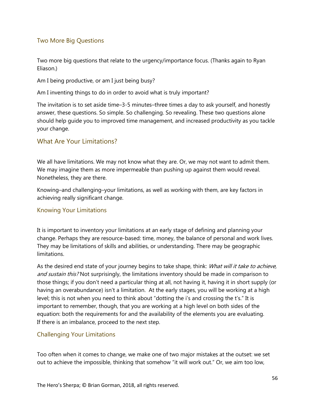### <span id="page-55-0"></span>Two More Big Questions

Two more big questions that relate to the urgency/importance focus. (Thanks again to Ryan Eliason.)

Am I being productive, or am I just being busy?

Am I inventing things to do in order to avoid what is truly important?

The invitation is to set aside time–3-5 minutes–three times a day to ask yourself, and honestly answer, these questions. So simple. So challenging. So revealing. These two questions alone should help guide you to improved time management, and increased productivity as you tackle your change.

### <span id="page-55-1"></span>What Are Your Limitations?

We all have limitations. We may not know what they are. Or, we may not want to admit them. We may imagine them as more impermeable than pushing up against them would reveal. Nonetheless, they are there.

Knowing–and challenging–your limitations, as well as working with them, are key factors in achieving really significant change.

### <span id="page-55-2"></span>Knowing Your Limitations

It is important to inventory your limitations at an early stage of defining and planning your change. Perhaps they are resource-based: time, money, the balance of personal and work lives. They may be limitations of skills and abilities, or understanding. There may be geographic limitations.

As the desired end state of your journey begins to take shape, think: What will it take to achieve, and sustain this? Not surprisingly, the limitations inventory should be made in comparison to those things; if you don't need a particular thing at all, not having it, having it in short supply (or having an overabundance) isn't a limitation. At the early stages, you will be working at a high level; this is not when you need to think about "dotting the i's and crossing the t's." It is important to remember, though, that you are working at a high level on both sides of the equation: both the requirements for and the availability of the elements you are evaluating. If there is an imbalance, proceed to the next step.

### <span id="page-55-3"></span>Challenging Your Limitations

Too often when it comes to change, we make one of two major mistakes at the outset: we set out to achieve the impossible, thinking that somehow "it will work out." Or, we aim too low,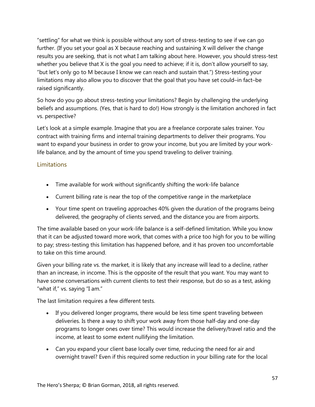"settling" for what we think is possible without any sort of stress-testing to see if we can go further. (If you set your goal as X because reaching and sustaining X will deliver the change results you are seeking, that is not what I am talking about here. However, you should stress-test whether you believe that X is the goal you need to achieve; if it is, don't allow yourself to say, "but let's only go to M because I know we can reach and sustain that.") Stress-testing your limitations may also allow you to discover that the goal that you have set could–in fact–be raised significantly.

So how do you go about stress-testing your limitations? Begin by challenging the underlying beliefs and assumptions. (Yes, that is hard to do!) How strongly is the limitation anchored in fact vs. perspective?

Let's look at a simple example. Imagine that you are a freelance corporate sales trainer. You contract with training firms and internal training departments to deliver their programs. You want to expand your business in order to grow your income, but you are limited by your worklife balance, and by the amount of time you spend traveling to deliver training.

### <span id="page-56-0"></span>**Limitations**

- Time available for work without significantly shifting the work-life balance
- Current billing rate is near the top of the competitive range in the marketplace
- Your time spent on traveling approaches 40% given the duration of the programs being delivered, the geography of clients served, and the distance you are from airports.

The time available based on your work-life balance is a self-defined limitation. While you know that it can be adjusted toward more work, that comes with a price too high for you to be willing to pay; stress-testing this limitation has happened before, and it has proven too uncomfortable to take on this time around.

Given your billing rate vs. the market, it is likely that any increase will lead to a decline, rather than an increase, in income. This is the opposite of the result that you want. You may want to have some conversations with current clients to test their response, but do so as a test, asking "what if," vs. saying "I am."

The last limitation requires a few different tests.

- If you delivered longer programs, there would be less time spent traveling between deliveries. Is there a way to shift your work away from those half-day and one-day programs to longer ones over time? This would increase the delivery/travel ratio and the income, at least to some extent nullifying the limitation.
- Can you expand your client base locally over time, reducing the need for air and overnight travel? Even if this required some reduction in your billing rate for the local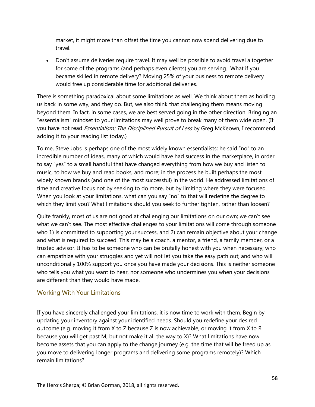market, it might more than offset the time you cannot now spend delivering due to travel.

• Don't assume deliveries require travel. It may well be possible to avoid travel altogether for some of the programs (and perhaps even clients) you are serving. What if you became skilled in remote delivery? Moving 25% of your business to remote delivery would free up considerable time for additional deliveries.

There is something paradoxical about some limitations as well. We think about them as holding us back in some way, and they do. But, we also think that challenging them means moving beyond them. In fact, in some cases, we are best served going in the other direction. Bringing an "essentialism" mindset to your limitations may well prove to break many of them wide open. (If you have not read *Essentialism: The Disciplined Pursuit of Less* by Greg McKeown, I recommend adding it to your reading list today.)

To me, Steve Jobs is perhaps one of the most widely known essentialists; he said "no" to an incredible number of ideas, many of which would have had success in the marketplace, in order to say "yes" to a small handful that have changed everything from how we buy and listen to music, to how we buy and read books, and more; in the process he built perhaps the most widely known brands (and one of the most successful) in the world. He addressed limitations of time and creative focus not by seeking to do more, but by limiting where they were focused. When you look at your limitations, what can you say "no" to that will redefine the degree to which they limit you? What limitations should you seek to further tighten, rather than loosen?

Quite frankly, most of us are not good at challenging our limitations on our own; we can't see what we can't see. The most effective challenges to your limitations will come through someone who 1) is committed to supporting your success, and 2) can remain objective about your change and what is required to succeed. This may be a coach, a mentor, a friend, a family member, or a trusted advisor. It has to be someone who can be brutally honest with you when necessary; who can empathize with your struggles and yet will not let you take the easy path out; and who will unconditionally 100% support you once you have made your decisions. This is neither someone who tells you what you want to hear, nor someone who undermines you when your decisions are different than they would have made.

### <span id="page-57-0"></span>Working With Your Limitations

If you have sincerely challenged your limitations, it is now time to work with them. Begin by updating your inventory against your identified needs. Should you redefine your desired outcome (e.g. moving it from X to Z because Z is now achievable, or moving it from X to R because you will get past M, but not make it all the way to X)? What limitations have now become assets that you can apply to the change journey (e.g. the time that will be freed up as you move to delivering longer programs and delivering some programs remotely)? Which remain limitations?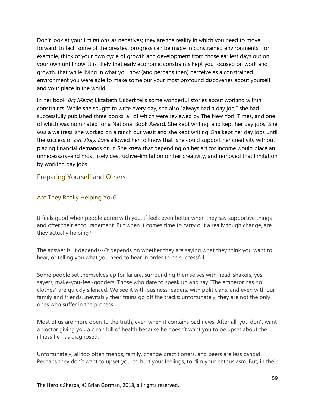Don't look at your limitations as negatives; they are the reality in which you need to move forward. In fact, some of the greatest progress can be made in constrained environments. For example, think of your own cycle of growth and development from those earliest days out on your own until now. It is likely that early economic constraints kept you focused on work and growth, that while living in what you now (and perhaps then) perceive as a constrained environment you were able to make some our your most profound discoveries about yourself and your place in the world.

In her book *Big Magic*, Elizabeth Gilbert tells some wonderful stories about working within constraints. While she sought to write every day, she also "always had a day job;" she had successfully published three books, all of which were reviewed by The New York Times, and one of which was nominated for a National Book Award. She kept writing, and kept her day jobs. She was a waitress; she worked on a ranch out west; and she kept writing. She kept her day jobs until the success of *Eat, Pray, Love* allowed her to know that she could support her creativity without placing financial demands on it. She knew that depending on her art for income would place an unnecessary–and most likely destructive–limitation on her creativity, and removed that limitation by working day jobs.

### <span id="page-58-0"></span>Preparing Yourself and Others

### <span id="page-58-1"></span>Are They Really Helping You?

It feels good when people agree with you. If feels even better when they say supportive things and offer their encouragement. But when it comes time to carry out a really tough change, are they actually helping?

The answer is, it depends $\cdots$  It depends on whether they are saying what they think you want to hear, or telling you what you need to hear in order to be successful.

Some people set themselves up for failure, surrounding themselves with head-shakers, yessayers, make-you-feel-gooders. Those who dare to speak up and say "The emperor has no clothes" are quickly silenced. We see it with business leaders, with politicians, and even with our family and friends. Inevitably their trains go off the tracks; unfortunately, they are not the only ones who suffer in the process.

Most of us are more open to the truth, even when it contains bad news. After all, you don't want a doctor giving you a clean bill of health because he doesn't want you to be upset about the illness he has diagnosed.

Unfortunately, all too often friends, family, change practitioners, and peers are less candid. Perhaps they don't want to upset you, to hurt your feelings, to dim your enthusiasm. But, in their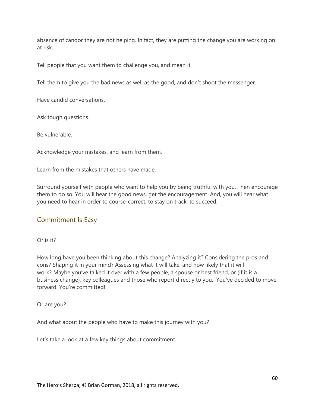absence of candor they are not helping. In fact, they are putting the change you are working on at risk.

Tell people that you want them to challenge you, and mean it.

Tell them to give you the bad news as well as the good, and don't shoot the messenger.

Have candid conversations.

Ask tough questions.

Be vulnerable.

Acknowledge your mistakes, and learn from them.

Learn from the mistakes that others have made.

Surround yourself with people who want to help you by being truthful with you. Then encourage them to do so. You will hear the good news, get the encouragement. And, you will hear what you need to hear in order to course-correct, to stay on track, to succeed.

### <span id="page-59-0"></span>Commitment Is Easy

Or is it?

How long have you been thinking about this change? Analyzing it? Considering the pros and cons? Shaping it in your mind? Assessing what it will take, and how likely that it will work? Maybe you've talked it over with a few people, a spouse or best friend, or (if it is a business change), key colleagues and those who report directly to you. You've decided to move forward. You're committed!

Or are you?

And what about the people who have to make this journey with you?

Let's take a look at a few key things about commitment.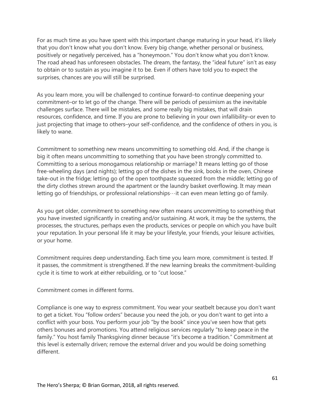For as much time as you have spent with this important change maturing in your head, it's likely that you don't know what you don't know. Every big change, whether personal or business, positively or negatively perceived, has a "honeymoon." You don't know what you don't know. The road ahead has unforeseen obstacles. The dream, the fantasy, the "ideal future" isn't as easy to obtain or to sustain as you imagine it to be. Even if others have told you to expect the surprises, chances are you will still be surprised.

As you learn more, you will be challenged to continue forward–to continue deepening your commitment–or to let go of the change. There will be periods of pessimism as the inevitable challenges surface. There will be mistakes, and some really big mistakes, that will drain resources, confidence, and time. If you are prone to believing in your own infallibility–or even to just projecting that image to others–your self-confidence, and the confidence of others in you, is likely to wane.

Commitment to something new means uncommitting to something old. And, if the change is big it often means uncommitting to something that you have been strongly committed to. Committing to a serious monogamous relationship or marriage? It means letting go of those free-wheeling days (and nights); letting go of the dishes in the sink, books in the oven, Chinese take-out in the fridge; letting go of the open toothpaste squeezed from the middle; letting go of the dirty clothes strewn around the apartment or the laundry basket overflowing. It may mean letting go of friendships, or professional relationships…it can even mean letting go of family.

As you get older, commitment to something new often means uncommitting to something that you have invested significantly in creating and/or sustaining. At work, it may be the systems, the processes, the structures, perhaps even the products, services or people on which you have built your reputation. In your personal life it may be your lifestyle, your friends, your leisure activities, or your home.

Commitment requires deep understanding. Each time you learn more, commitment is tested. If it passes, the commitment is strengthened. If the new learning breaks the commitment-building cycle it is time to work at either rebuilding, or to "cut loose."

Commitment comes in different forms.

Compliance is one way to express commitment. You wear your seatbelt because you don't want to get a ticket. You "follow orders" because you need the job, or you don't want to get into a conflict with your boss. You perform your job "by the book" since you've seen how that gets others bonuses and promotions. You attend religious services regularly "to keep peace in the family." You host family Thanksgiving dinner because "it's become a tradition." Commitment at this level is externally driven; remove the external driver and you would be doing something different.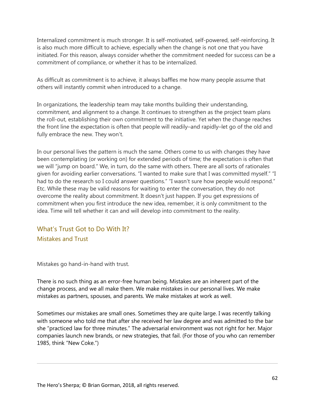Internalized commitment is much stronger. It is self-motivated, self-powered, self-reinforcing. It is also much more difficult to achieve, especially when the change is not one that you have initiated. For this reason, always consider whether the commitment needed for success can be a commitment of compliance, or whether it has to be internalized.

As difficult as commitment is to achieve, it always baffles me how many people assume that others will instantly commit when introduced to a change.

In organizations, the leadership team may take months building their understanding, commitment, and alignment to a change. It continues to strengthen as the project team plans the roll-out, establishing their own commitment to the initiative. Yet when the change reaches the front line the expectation is often that people will readily–and rapidly–let go of the old and fully embrace the new. They won't.

In our personal lives the pattern is much the same. Others come to us with changes they have been contemplating (or working on) for extended periods of time; the expectation is often that we will "jump on board." We, in turn, do the same with others. There are all sorts of rationales given for avoiding earlier conversations. "I wanted to make sure that I was committed myself." "I had to do the research so I could answer questions." "I wasn't sure how people would respond." Etc. While these may be valid reasons for waiting to enter the conversation, they do not overcome the reality about commitment. It doesn't just happen. If you get expressions of commitment when you first introduce the new idea, remember, it is only commitment to the idea. Time will tell whether it can and will develop into commitment to the reality.

## <span id="page-61-1"></span><span id="page-61-0"></span>What's Trust Got to Do With It? Mistakes and Trust

Mistakes go hand-in-hand with trust.

There is no such thing as an error-free human being. Mistakes are an inherent part of the change process, and we all make them. We make mistakes in our personal lives. We make mistakes as partners, spouses, and parents. We make mistakes at work as well.

Sometimes our mistakes are small ones. Sometimes they are quite large. I was recently talking with someone who told me that after she received her law degree and was admitted to the bar she "practiced law for three minutes." The adversarial environment was not right for her. Major companies launch new brands, or new strategies, that fail. (For those of you who can remember 1985, think "New Coke.")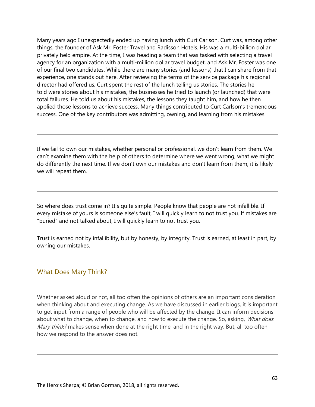Many years ago I unexpectedly ended up having lunch with Curt Carlson. Curt was, among other things, the founder of Ask Mr. Foster Travel and Radisson Hotels. His was a multi-billion dollar privately held empire. At the time, I was heading a team that was tasked with selecting a travel agency for an organization with a multi-million dollar travel budget, and Ask Mr. Foster was one of our final two candidates. While there are many stories (and lessons) that I can share from that experience, one stands out here. After reviewing the terms of the service package his regional director had offered us, Curt spent the rest of the lunch telling us stories. The stories he told were stories about his mistakes, the businesses he tried to launch (or launched) that were total failures. He told us about his mistakes, the lessons they taught him, and how he then applied those lessons to achieve success. Many things contributed to Curt Carlson's tremendous success. One of the key contributors was admitting, owning, and learning from his mistakes.

If we fail to own our mistakes, whether personal or professional, we don't learn from them. We can't examine them with the help of others to determine where we went wrong, what we might do differently the next time. If we don't own our mistakes and don't learn from them, it is likely we will repeat them.

So where does trust come in? It's quite simple. People know that people are not infallible. If every mistake of yours is someone else's fault, I will quickly learn to not trust you. If mistakes are "buried" and not talked about, I will quickly learn to not trust you.

Trust is earned not by infallibility, but by honesty, by integrity. Trust is earned, at least in part, by owning our mistakes.

### <span id="page-62-0"></span>What Does Mary Think?

Whether asked aloud or not, all too often the opinions of others are an important consideration when thinking about and executing change. As we have discussed in earlier blogs, it is important to get input from a range of people who will be affected by the change. It can inform decisions about what to change, when to change, and how to execute the change. So, asking, *What does* Mary think? makes sense when done at the right time, and in the right way. But, all too often, how we respond to the answer does not.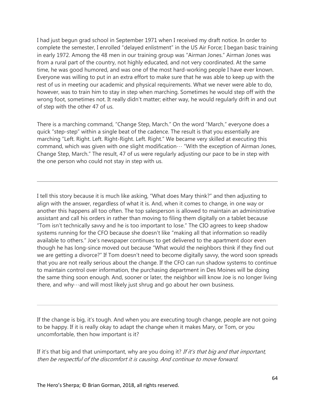I had just begun grad school in September 1971 when I received my draft notice. In order to complete the semester, I enrolled "delayed enlistment" in the US Air Force; I began basic training in early 1972. Among the 48 men in our training group was "Airman Jones." Airman Jones was from a rural part of the country, not highly educated, and not very coordinated. At the same time, he was good humored, and was one of the most hard-working people I have ever known. Everyone was willing to put in an extra effort to make sure that he was able to keep up with the rest of us in meeting our academic and physical requirements. What we never were able to do, however, was to train him to stay in step when marching. Sometimes he would step off with the wrong foot, sometimes not. It really didn't matter; either way, he would regularly drift in and out of step with the other 47 of us.

There is a marching command, "Change Step, March." On the word "March," everyone does a quick "step-step" within a single beat of the cadence. The result is that you essentially are marching "Left. Right. Left. Right-Right. Left. Right." We became very skilled at executing this command, which was given with one slight modification… "With the exception of Airman Jones, Change Step, March." The result, 47 of us were regularly adjusting our pace to be in step with the one person who could not stay in step with us.

I tell this story because it is much like asking, "What does Mary think?" and then adjusting to align with the answer, regardless of what it is. And, when it comes to change, in one way or another this happens all too often. The top salesperson is allowed to maintain an administrative assistant and call his orders in rather than moving to filing them digitally on a tablet because "Tom isn't technically savvy and he is too important to lose." The CIO agrees to keep shadow systems running for the CFO because she doesn't like "making all that information so readily available to others." Joe's newspaper continues to get delivered to the apartment door even though he has long-since moved out because "What would the neighbors think if they find out we are getting a divorce?" If Tom doesn't need to become digitally savvy, the word soon spreads that you are not really serious about the change. If the CFO can run shadow systems to continue to maintain control over information, the purchasing department in Des Moines will be doing the same thing soon enough. And, sooner or later, the neighbor will know Joe is no longer living there, and why…and will most likely just shrug and go about her own business.

If the change is big, it's tough. And when you are executing tough change, people are not going to be happy. If it is really okay to adapt the change when it makes Mary, or Tom, or you uncomfortable, then how important is it?

If it's that big and that unimportant, why are you doing it? If it's that big and that important, then be respectful of the discomfort it is causing. And continue to move forward.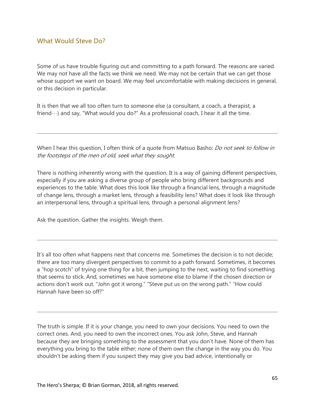### <span id="page-64-0"></span>What Would Steve Do?

Some of us have trouble figuring out and committing to a path forward. The reasons are varied. We may not have all the facts we think we need. We may not be certain that we can get those whose support we want on board. We may feel uncomfortable with making decisions in general, or this decision in particular.

It is then that we all too often turn to someone else (a consultant, a coach, a therapist, a friend $\cdots$ ) and say, "What would you do?" As a professional coach, I hear it all the time.

When I hear this question, I often think of a quote from Matsuo Basho: *Do not seek to follow in* the footsteps of the men of old, seek what they sought.

There is nothing inherently wrong with the question. It is a way of gaining different perspectives, especially if you are asking a diverse group of people who bring different backgrounds and experiences to the table. What does this look like through a financial lens, through a magnitude of change lens, through a market lens, through a feasibility lens? What does it look like through an interpersonal lens, through a spiritual lens, through a personal alignment lens?

Ask the question. Gather the insights. Weigh them.

It's all too often what happens next that concerns me. Sometimes the decision is to not decide; there are too many divergent perspectives to commit to a path forward. Sometimes, it becomes a "hop scotch" of trying one thing for a bit, then jumping to the next, waiting to find something that seems to stick. And, sometimes we have someone else to blame if the chosen direction or actions don't work out. "John got it wrong." "Steve put us on the wrong path." "How could Hannah have been so off?"

The truth is simple. If it is your change, you need to own your decisions. You need to own the correct ones. And, you need to own the incorrect ones. You ask John, Steve, and Hannah because they are bringing something to the assessment that you don't have. None of them has everything you bring to the table either; none of them own the change in the way you do. You shouldn't be asking them if you suspect they may give you bad advice, intentionally or